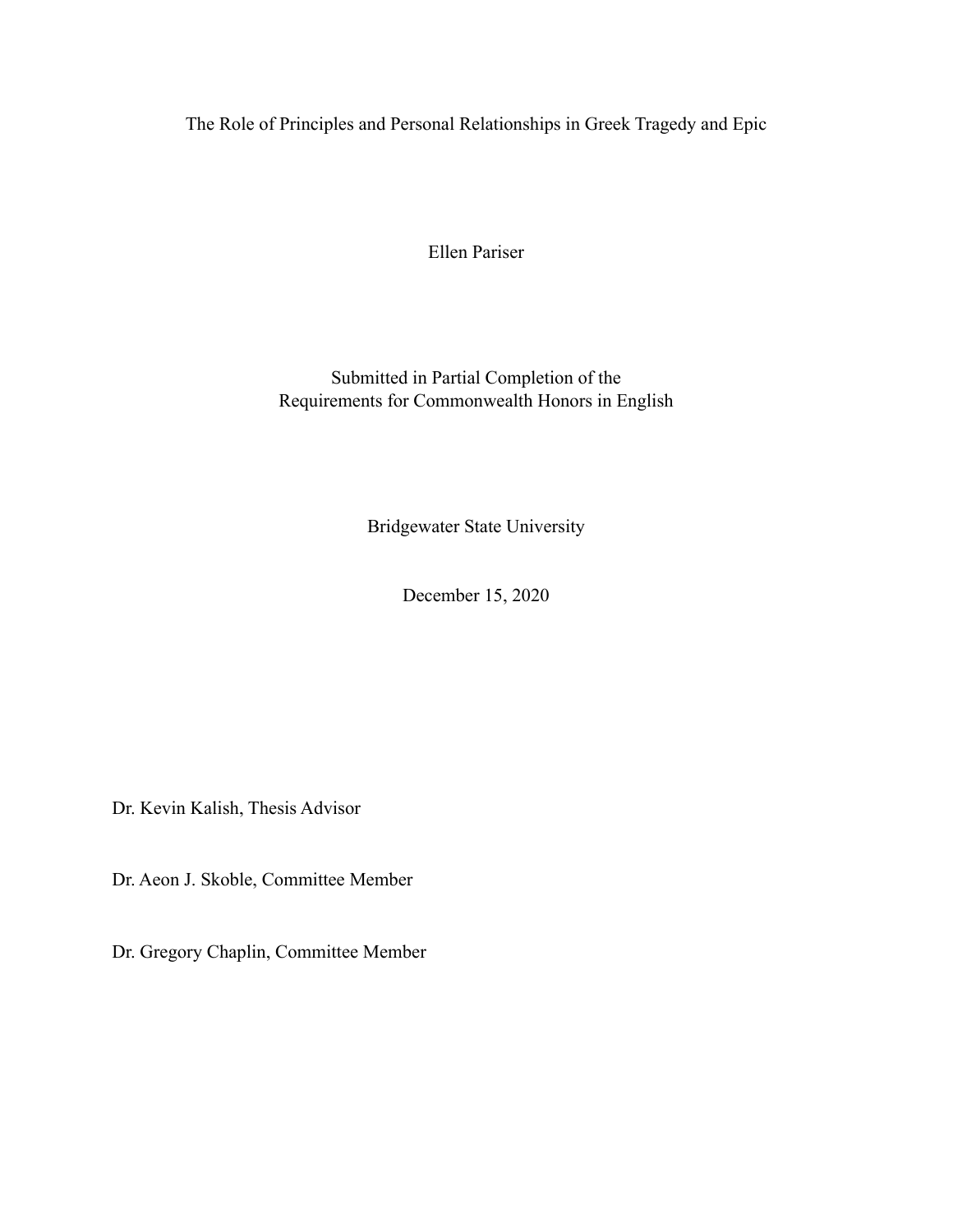The Role of Principles and Personal Relationships in Greek Tragedy and Epic

Ellen Pariser

Submitted in Partial Completion of the Requirements for Commonwealth Honors in English

Bridgewater State University

December 15, 2020

Dr. Kevin Kalish, Thesis Advisor

Dr. Aeon J. Skoble, Committee Member

Dr. Gregory Chaplin, Committee Member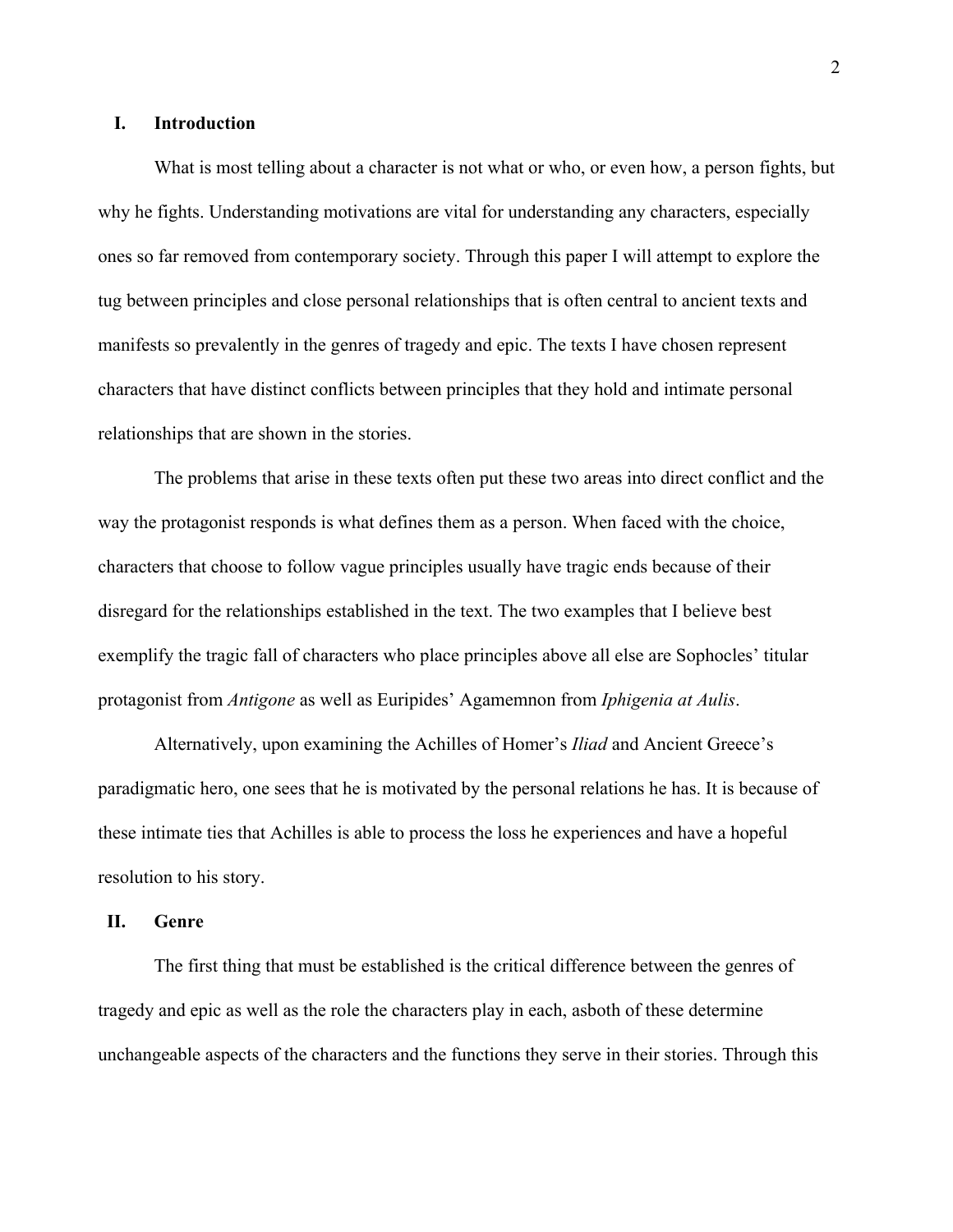# **I. Introduction**

What is most telling about a character is not what or who, or even how, a person fights, but why he fights. Understanding motivations are vital for understanding any characters, especially ones so far removed from contemporary society. Through this paper I will attempt to explore the tug between principles and close personal relationships that is often central to ancient texts and manifests so prevalently in the genres of tragedy and epic. The texts I have chosen represent characters that have distinct conflicts between principles that they hold and intimate personal relationships that are shown in the stories.

The problems that arise in these texts often put these two areas into direct conflict and the way the protagonist responds is what defines them as a person. When faced with the choice, characters that choose to follow vague principles usually have tragic ends because of their disregard for the relationships established in the text. The two examples that I believe best exemplify the tragic fall of characters who place principles above all else are Sophocles' titular protagonist from *Antigone* as well as Euripides' Agamemnon from *Iphigenia at Aulis*.

Alternatively, upon examining the Achilles of Homer's *Iliad* and Ancient Greece's paradigmatic hero, one sees that he is motivated by the personal relations he has. It is because of these intimate ties that Achilles is able to process the loss he experiences and have a hopeful resolution to his story.

## **II. Genre**

The first thing that must be established is the critical difference between the genres of tragedy and epic as well as the role the characters play in each, asboth of these determine unchangeable aspects of the characters and the functions they serve in their stories. Through this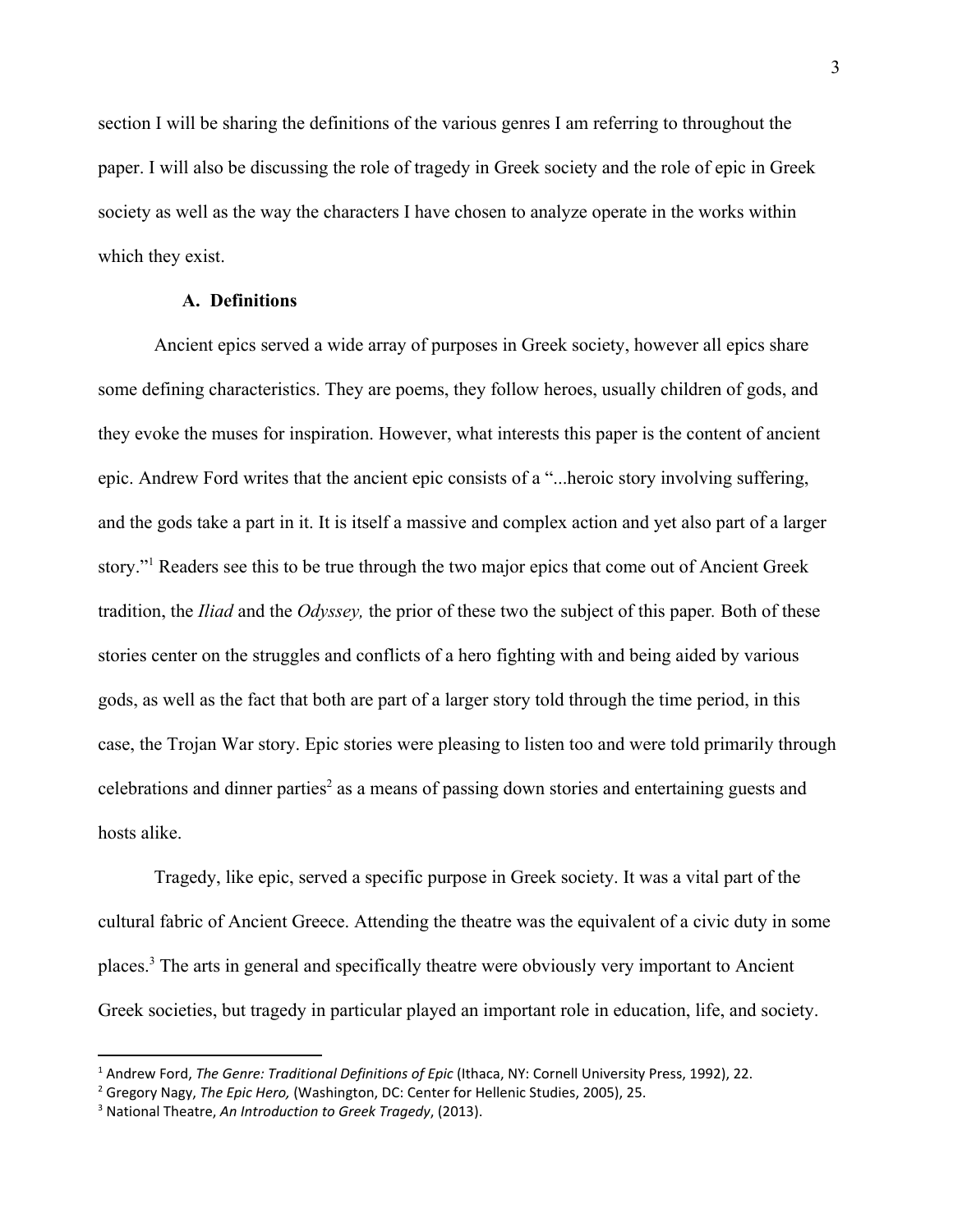section I will be sharing the definitions of the various genres I am referring to throughout the paper. I will also be discussing the role of tragedy in Greek society and the role of epic in Greek society as well as the way the characters I have chosen to analyze operate in the works within which they exist.

## **A. Definitions**

Ancient epics served a wide array of purposes in Greek society, however all epics share some defining characteristics. They are poems, they follow heroes, usually children of gods, and they evoke the muses for inspiration. However, what interests this paper is the content of ancient epic. Andrew Ford writes that the ancient epic consists of a "...heroic story involving suffering, and the gods take a part in it. It is itself a massive and complex action and yet also part of a larger story."<sup>1</sup> Readers see this to be true through the two major epics that come out of Ancient Greek tradition, the *Iliad* and the *Odyssey,* the prior of these two the subject of this paper*.* Both of these stories center on the struggles and conflicts of a hero fighting with and being aided by various gods, as well as the fact that both are part of a larger story told through the time period, in this case, the Trojan War story. Epic stories were pleasing to listen too and were told primarily through celebrations and dinner parties<sup>2</sup> as a means of passing down stories and entertaining guests and hosts alike.

Tragedy, like epic, served a specific purpose in Greek society. It was a vital part of the cultural fabric of Ancient Greece. Attending the theatre was the equivalent of a civic duty in some places.<sup>3</sup> The arts in general and specifically theatre were obviously very important to Ancient Greek societies, but tragedy in particular played an important role in education, life, and society.

<sup>1</sup> Andrew Ford, *The Genre: Traditional Definitions of Epic* (Ithaca, NY: Cornell University Press, 1992), 22.

<sup>2</sup> Gregory Nagy, *The Epic Hero,* (Washington, DC: Center for Hellenic Studies, 2005), 25.

<sup>3</sup> National Theatre, *An Introduction to Greek Tragedy*, (2013).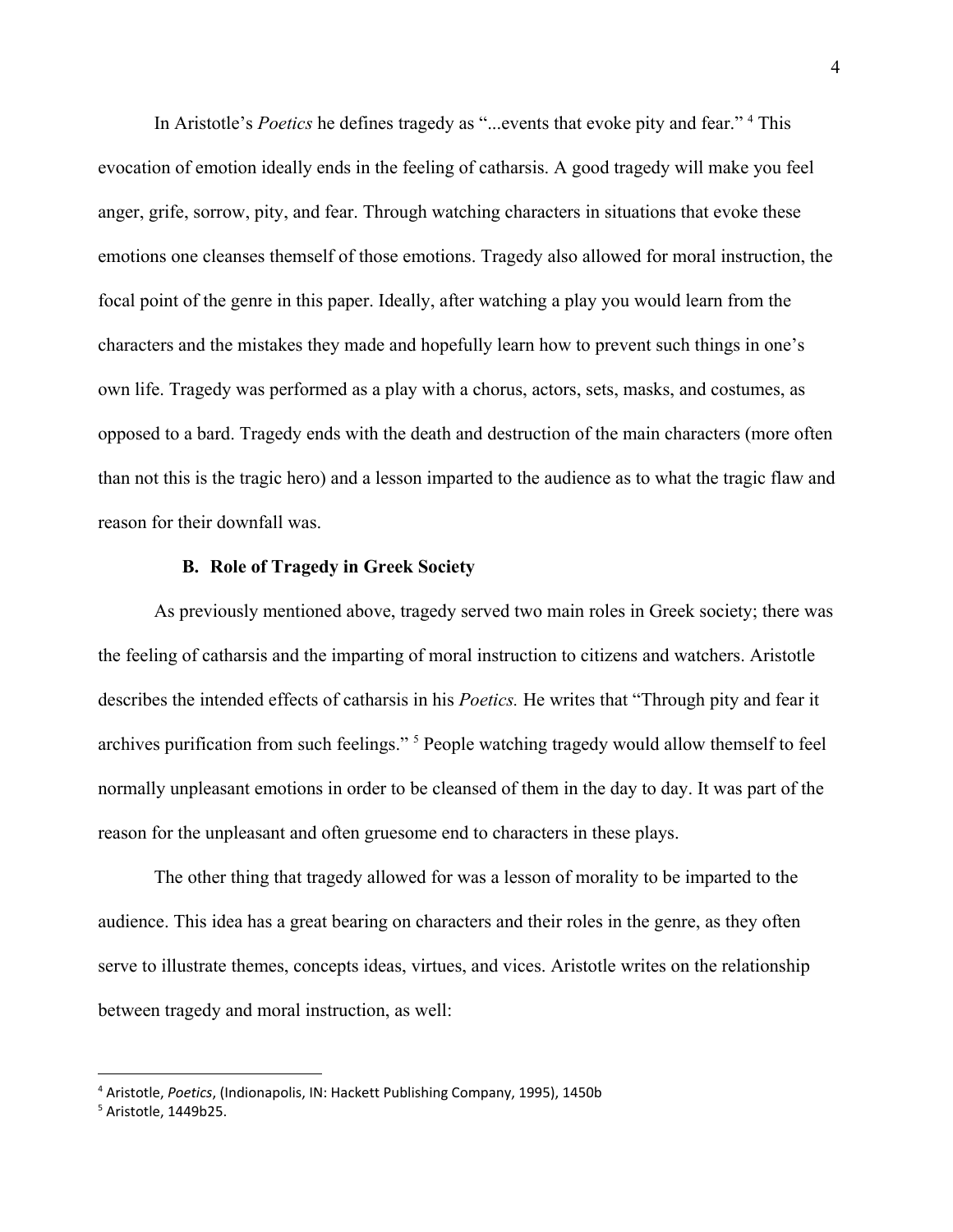In Aristotle's *Poetics* he defines tragedy as "...events that evoke pity and fear." <sup>4</sup> This evocation of emotion ideally ends in the feeling of catharsis. A good tragedy will make you feel anger, grife, sorrow, pity, and fear. Through watching characters in situations that evoke these emotions one cleanses themself of those emotions. Tragedy also allowed for moral instruction, the focal point of the genre in this paper. Ideally, after watching a play you would learn from the characters and the mistakes they made and hopefully learn how to prevent such things in one's own life. Tragedy was performed as a play with a chorus, actors, sets, masks, and costumes, as opposed to a bard. Tragedy ends with the death and destruction of the main characters (more often than not this is the tragic hero) and a lesson imparted to the audience as to what the tragic flaw and reason for their downfall was.

## **B. Role of Tragedy in Greek Society**

As previously mentioned above, tragedy served two main roles in Greek society; there was the feeling of catharsis and the imparting of moral instruction to citizens and watchers. Aristotle describes the intended effects of catharsis in his *Poetics.* He writes that "Through pity and fear it archives purification from such feelings." <sup>5</sup> People watching tragedy would allow themself to feel normally unpleasant emotions in order to be cleansed of them in the day to day. It was part of the reason for the unpleasant and often gruesome end to characters in these plays.

The other thing that tragedy allowed for was a lesson of morality to be imparted to the audience. This idea has a great bearing on characters and their roles in the genre, as they often serve to illustrate themes, concepts ideas, virtues, and vices. Aristotle writes on the relationship between tragedy and moral instruction, as well:

<sup>4</sup> Aristotle, *Poetics*, (Indionapolis, IN: Hackett Publishing Company, 1995), 1450b

<sup>5</sup> Aristotle, 1449b25.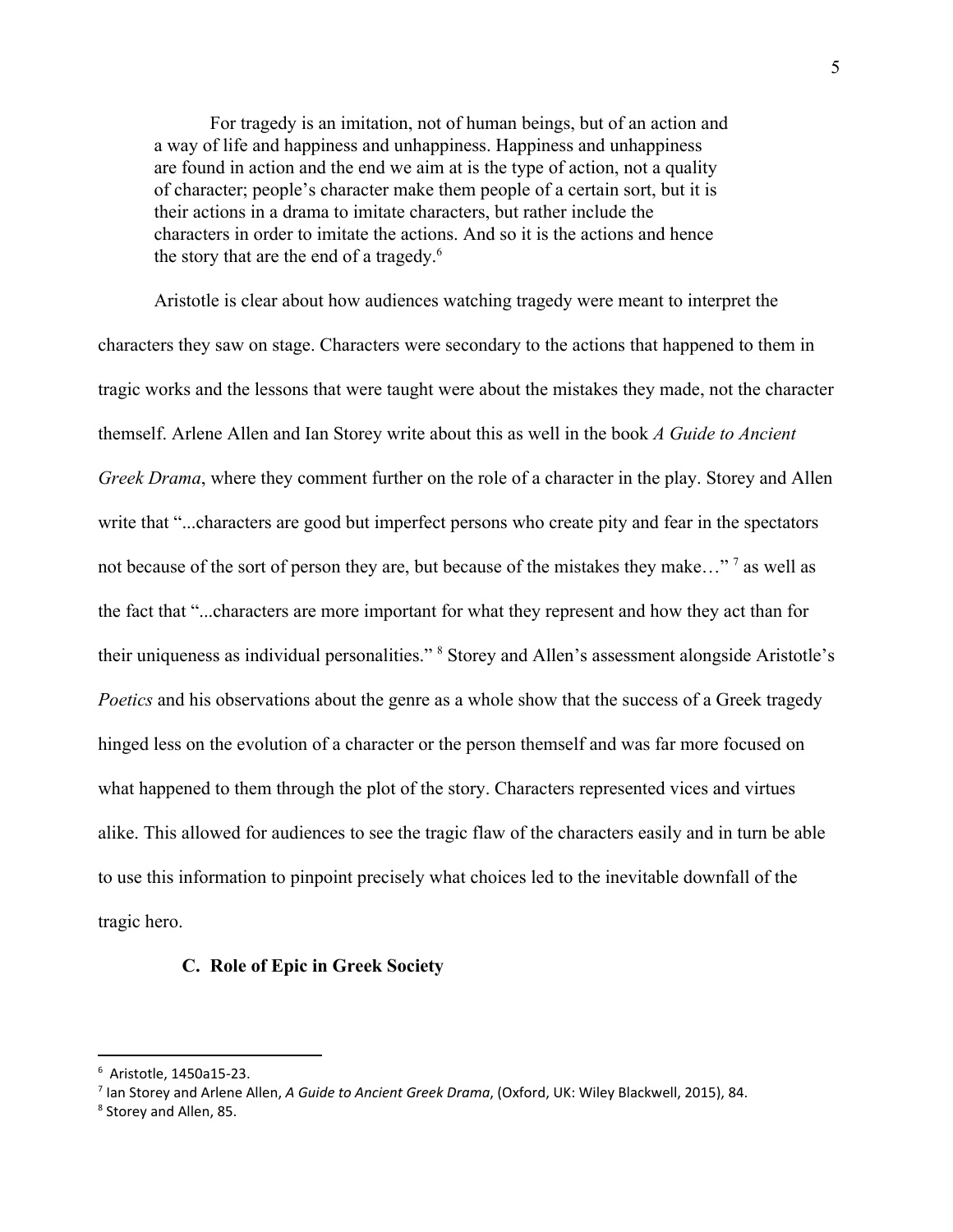For tragedy is an imitation, not of human beings, but of an action and a way of life and happiness and unhappiness. Happiness and unhappiness are found in action and the end we aim at is the type of action, not a quality of character; people's character make them people of a certain sort, but it is their actions in a drama to imitate characters, but rather include the characters in order to imitate the actions. And so it is the actions and hence the story that are the end of a tragedy.<sup>6</sup>

Aristotle is clear about how audiences watching tragedy were meant to interpret the characters they saw on stage. Characters were secondary to the actions that happened to them in tragic works and the lessons that were taught were about the mistakes they made, not the character themself. Arlene Allen and Ian Storey write about this as well in the book *A Guide to Ancient Greek Drama*, where they comment further on the role of a character in the play. Storey and Allen write that "...characters are good but imperfect persons who create pity and fear in the spectators not because of the sort of person they are, but because of the mistakes they make..." <sup>7</sup> as well as the fact that "...characters are more important for what they represent and how they act than for their uniqueness as individual personalities." <sup>8</sup> Storey and Allen's assessment alongside Aristotle's *Poetics* and his observations about the genre as a whole show that the success of a Greek tragedy hinged less on the evolution of a character or the person themself and was far more focused on what happened to them through the plot of the story. Characters represented vices and virtues alike. This allowed for audiences to see the tragic flaw of the characters easily and in turn be able to use this information to pinpoint precisely what choices led to the inevitable downfall of the tragic hero.

#### **C. Role of Epic in Greek Society**

<sup>6</sup> Aristotle, 1450a15-23.

<sup>7</sup> Ian Storey and Arlene Allen, *A Guide to Ancient Greek Drama*, (Oxford, UK: Wiley Blackwell, 2015), 84.

<sup>8</sup> Storey and Allen, 85.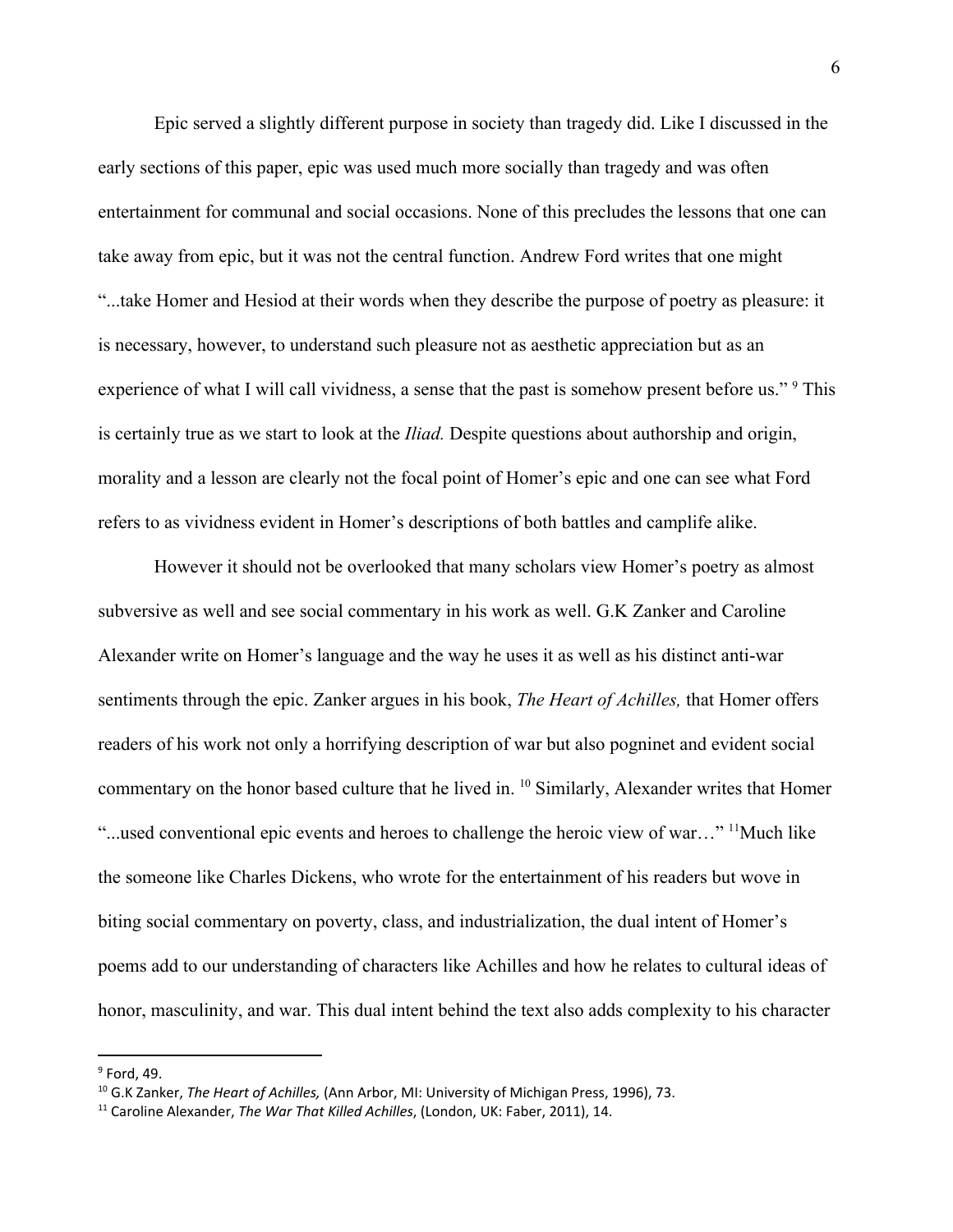Epic served a slightly different purpose in society than tragedy did. Like I discussed in the early sections of this paper, epic was used much more socially than tragedy and was often entertainment for communal and social occasions. None of this precludes the lessons that one can take away from epic, but it was not the central function. Andrew Ford writes that one might "...take Homer and Hesiod at their words when they describe the purpose of poetry as pleasure: it is necessary, however, to understand such pleasure not as aesthetic appreciation but as an experience of what I will call vividness, a sense that the past is somehow present before us." <sup>9</sup> This is certainly true as we start to look at the *Iliad.* Despite questions about authorship and origin, morality and a lesson are clearly not the focal point of Homer's epic and one can see what Ford refers to as vividness evident in Homer's descriptions of both battles and camplife alike.

However it should not be overlooked that many scholars view Homer's poetry as almost subversive as well and see social commentary in his work as well. G.K Zanker and Caroline Alexander write on Homer's language and the way he uses it as well as his distinct anti-war sentiments through the epic. Zanker argues in his book, *The Heart of Achilles,* that Homer offers readers of his work not only a horrifying description of war but also pogninet and evident social commentary on the honor based culture that he lived in. <sup>10</sup> Similarly, Alexander writes that Homer "...used conventional epic events and heroes to challenge the heroic view of war..." <sup>11</sup>Much like the someone like Charles Dickens, who wrote for the entertainment of his readers but wove in biting social commentary on poverty, class, and industrialization, the dual intent of Homer's poems add to our understanding of characters like Achilles and how he relates to cultural ideas of honor, masculinity, and war. This dual intent behind the text also adds complexity to his character

 $9$  Ford, 49.

<sup>10</sup> G.K Zanker, *The Heart of Achilles,* (Ann Arbor, MI: University of Michigan Press, 1996), 73.

<sup>11</sup> Caroline Alexander, *The War That Killed Achilles*, (London, UK: Faber, 2011), 14.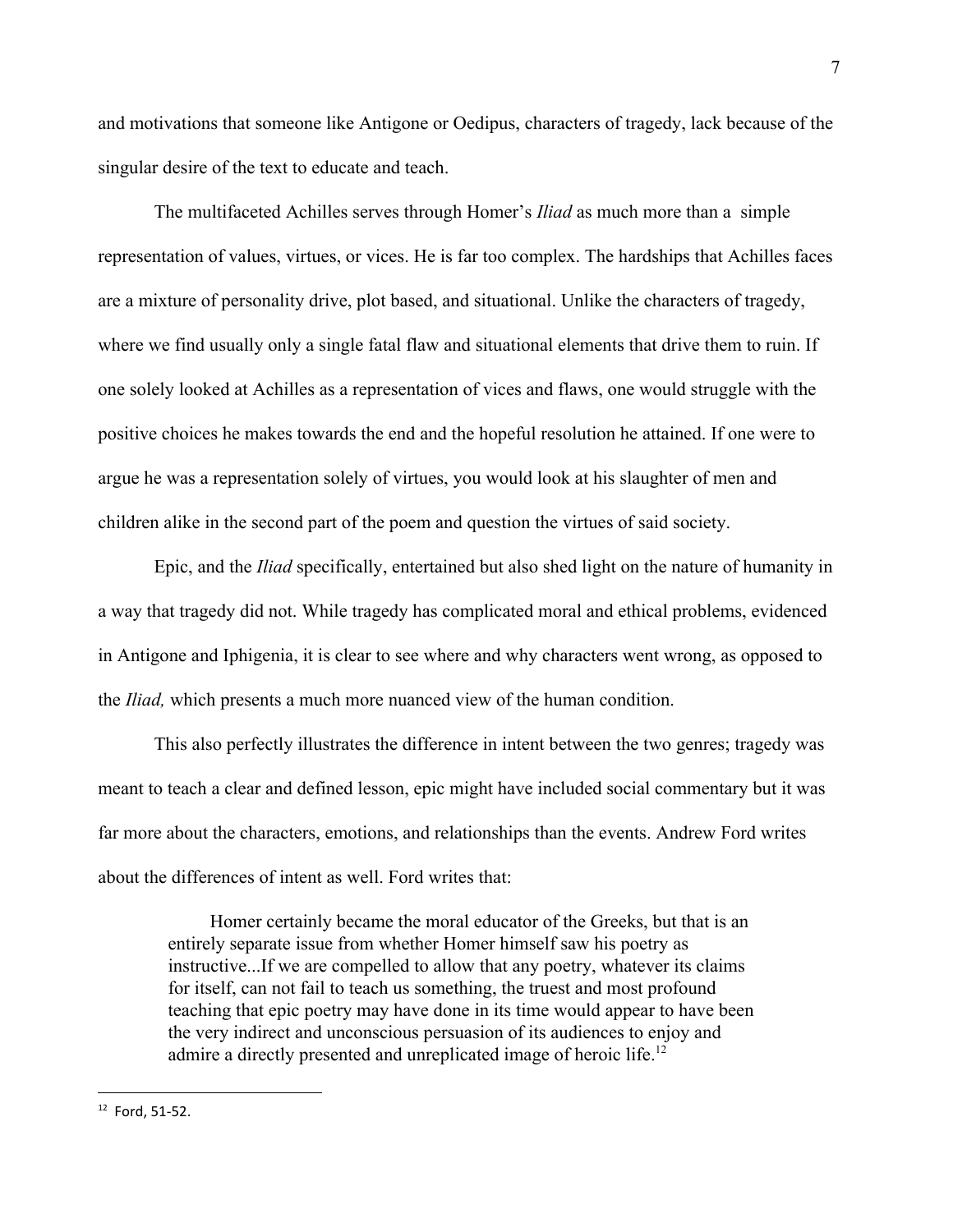and motivations that someone like Antigone or Oedipus, characters of tragedy, lack because of the singular desire of the text to educate and teach.

The multifaceted Achilles serves through Homer's *Iliad* as much more than a simple representation of values, virtues, or vices. He is far too complex. The hardships that Achilles faces are a mixture of personality drive, plot based, and situational. Unlike the characters of tragedy, where we find usually only a single fatal flaw and situational elements that drive them to ruin. If one solely looked at Achilles as a representation of vices and flaws, one would struggle with the positive choices he makes towards the end and the hopeful resolution he attained. If one were to argue he was a representation solely of virtues, you would look at his slaughter of men and children alike in the second part of the poem and question the virtues of said society.

Epic, and the *Iliad* specifically, entertained but also shed light on the nature of humanity in a way that tragedy did not. While tragedy has complicated moral and ethical problems, evidenced in Antigone and Iphigenia, it is clear to see where and why characters went wrong, as opposed to the *Iliad,* which presents a much more nuanced view of the human condition.

This also perfectly illustrates the difference in intent between the two genres; tragedy was meant to teach a clear and defined lesson, epic might have included social commentary but it was far more about the characters, emotions, and relationships than the events. Andrew Ford writes about the differences of intent as well. Ford writes that:

Homer certainly became the moral educator of the Greeks, but that is an entirely separate issue from whether Homer himself saw his poetry as instructive...If we are compelled to allow that any poetry, whatever its claims for itself, can not fail to teach us something, the truest and most profound teaching that epic poetry may have done in its time would appear to have been the very indirect and unconscious persuasion of its audiences to enjoy and admire a directly presented and unreplicated image of heroic life.<sup>12</sup>

<sup>7</sup>

<sup>12</sup> Ford, 51-52.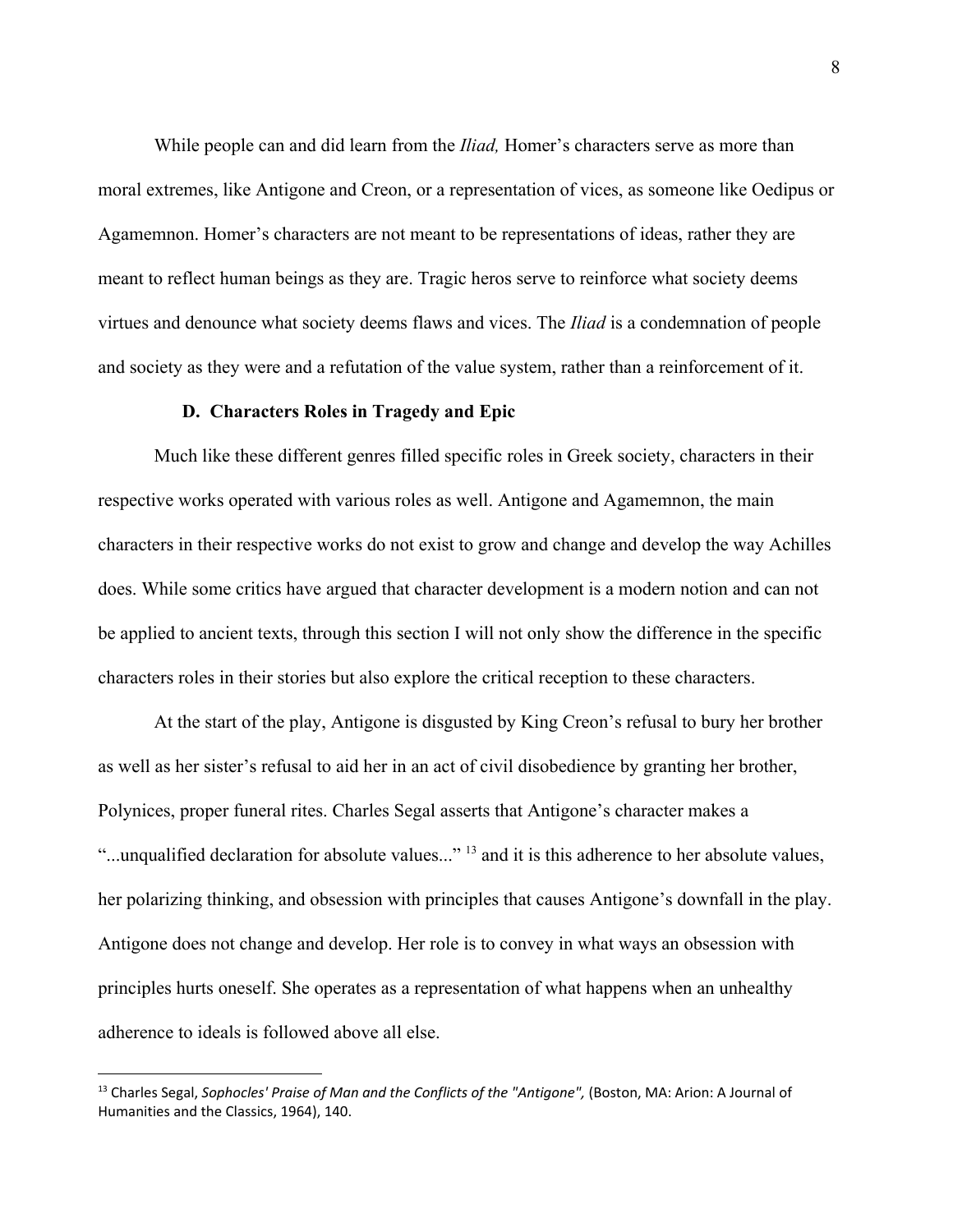While people can and did learn from the *Iliad,* Homer's characters serve as more than moral extremes, like Antigone and Creon, or a representation of vices, as someone like Oedipus or Agamemnon. Homer's characters are not meant to be representations of ideas, rather they are meant to reflect human beings as they are. Tragic heros serve to reinforce what society deems virtues and denounce what society deems flaws and vices. The *Iliad* is a condemnation of people and society as they were and a refutation of the value system, rather than a reinforcement of it.

#### **D. Characters Roles in Tragedy and Epic**

Much like these different genres filled specific roles in Greek society, characters in their respective works operated with various roles as well. Antigone and Agamemnon, the main characters in their respective works do not exist to grow and change and develop the way Achilles does. While some critics have argued that character development is a modern notion and can not be applied to ancient texts, through this section I will not only show the difference in the specific characters roles in their stories but also explore the critical reception to these characters.

At the start of the play, Antigone is disgusted by King Creon's refusal to bury her brother as well as her sister's refusal to aid her in an act of civil disobedience by granting her brother, Polynices, proper funeral rites. Charles Segal asserts that Antigone's character makes a "...unqualified declaration for absolute values..."<sup>13</sup> and it is this adherence to her absolute values, her polarizing thinking, and obsession with principles that causes Antigone's downfall in the play. Antigone does not change and develop. Her role is to convey in what ways an obsession with principles hurts oneself. She operates as a representation of what happens when an unhealthy adherence to ideals is followed above all else.

<sup>13</sup> Charles Segal, *Sophocles' Praise of Man and the Conflicts of the "Antigone",* (Boston, MA: Arion: A Journal of Humanities and the Classics, 1964), 140.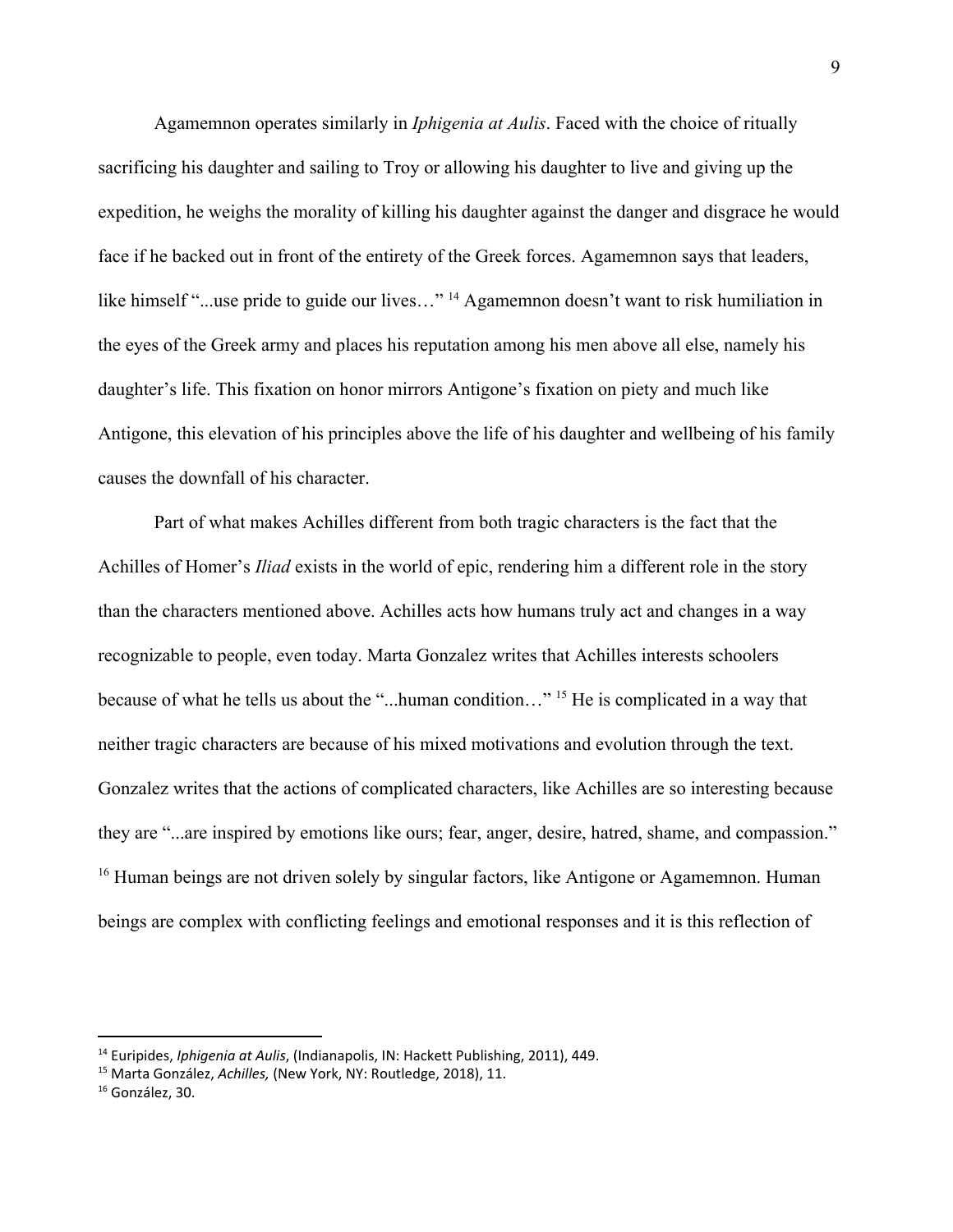Agamemnon operates similarly in *Iphigenia at Aulis*. Faced with the choice of ritually sacrificing his daughter and sailing to Troy or allowing his daughter to live and giving up the expedition, he weighs the morality of killing his daughter against the danger and disgrace he would face if he backed out in front of the entirety of the Greek forces. Agamemnon says that leaders, like himself "...use pride to guide our lives..." <sup>14</sup> Agamemnon doesn't want to risk humiliation in the eyes of the Greek army and places his reputation among his men above all else, namely his daughter's life. This fixation on honor mirrors Antigone's fixation on piety and much like Antigone, this elevation of his principles above the life of his daughter and wellbeing of his family causes the downfall of his character.

Part of what makes Achilles different from both tragic characters is the fact that the Achilles of Homer's *Iliad* exists in the world of epic, rendering him a different role in the story than the characters mentioned above. Achilles acts how humans truly act and changes in a way recognizable to people, even today. Marta Gonzalez writes that Achilles interests schoolers because of what he tells us about the "...human condition..." <sup>15</sup> He is complicated in a way that neither tragic characters are because of his mixed motivations and evolution through the text. Gonzalez writes that the actions of complicated characters, like Achilles are so interesting because they are "...are inspired by emotions like ours; fear, anger, desire, hatred, shame, and compassion."  $16$  Human beings are not driven solely by singular factors, like Antigone or Agamemnon. Human beings are complex with conflicting feelings and emotional responses and it is this reflection of

<sup>14</sup> Euripides, *Iphigenia at Aulis*, (Indianapolis, IN: Hackett Publishing, 2011), 449.

<sup>15</sup> Marta González, *Achilles,* (New York, NY: Routledge, 2018), 11.

<sup>&</sup>lt;sup>16</sup> González, 30.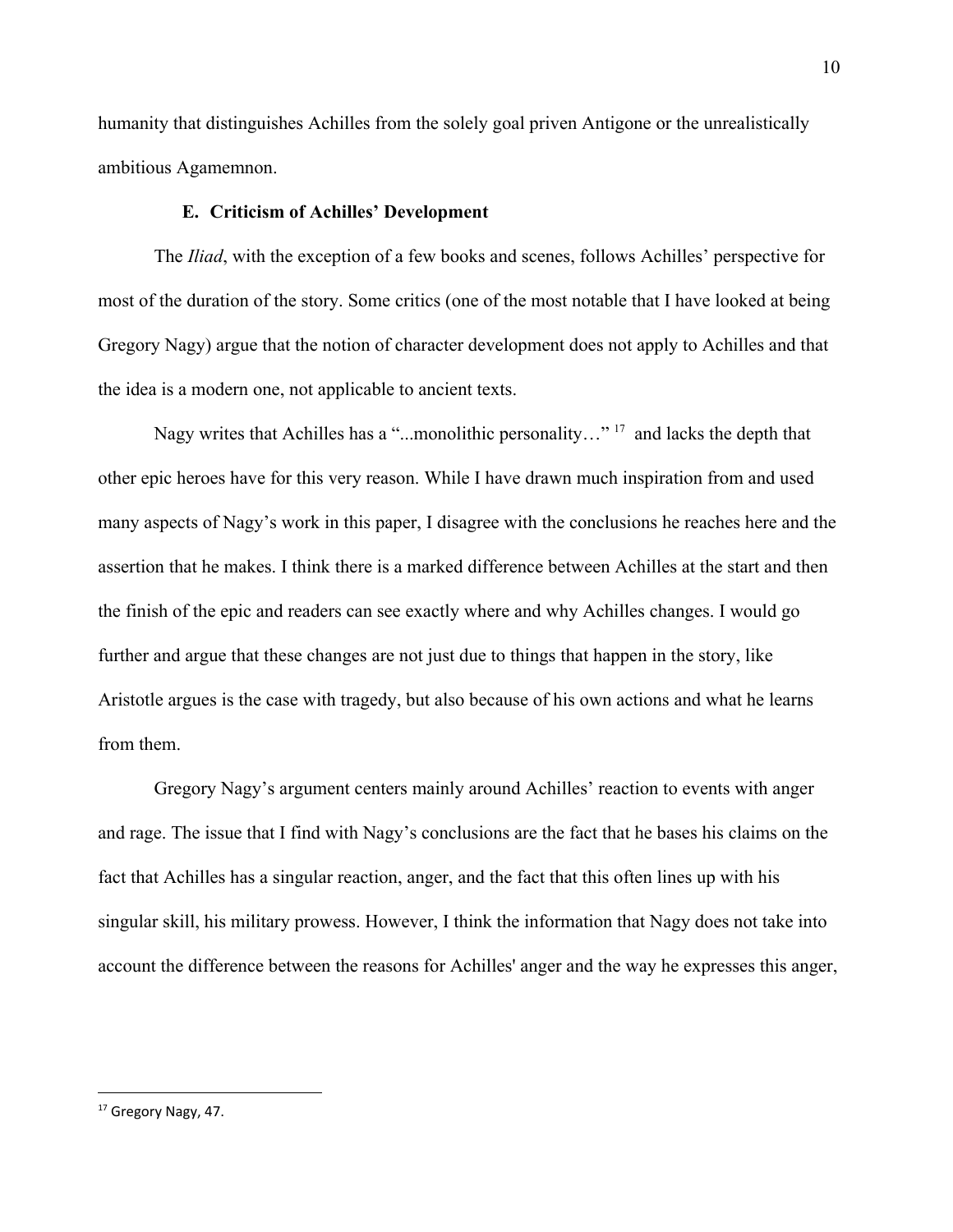humanity that distinguishes Achilles from the solely goal priven Antigone or the unrealistically ambitious Agamemnon.

## **E. Criticism of Achilles' Development**

The *Iliad*, with the exception of a few books and scenes, follows Achilles' perspective for most of the duration of the story. Some critics (one of the most notable that I have looked at being Gregory Nagy) argue that the notion of character development does not apply to Achilles and that the idea is a modern one, not applicable to ancient texts.

Nagy writes that Achilles has a "...monolithic personality..."<sup>17</sup> and lacks the depth that other epic heroes have for this very reason. While I have drawn much inspiration from and used many aspects of Nagy's work in this paper, I disagree with the conclusions he reaches here and the assertion that he makes. I think there is a marked difference between Achilles at the start and then the finish of the epic and readers can see exactly where and why Achilles changes. I would go further and argue that these changes are not just due to things that happen in the story, like Aristotle argues is the case with tragedy, but also because of his own actions and what he learns from them.

Gregory Nagy's argument centers mainly around Achilles' reaction to events with anger and rage. The issue that I find with Nagy's conclusions are the fact that he bases his claims on the fact that Achilles has a singular reaction, anger, and the fact that this often lines up with his singular skill, his military prowess. However, I think the information that Nagy does not take into account the difference between the reasons for Achilles' anger and the way he expresses this anger,

<sup>&</sup>lt;sup>17</sup> Gregory Nagy, 47.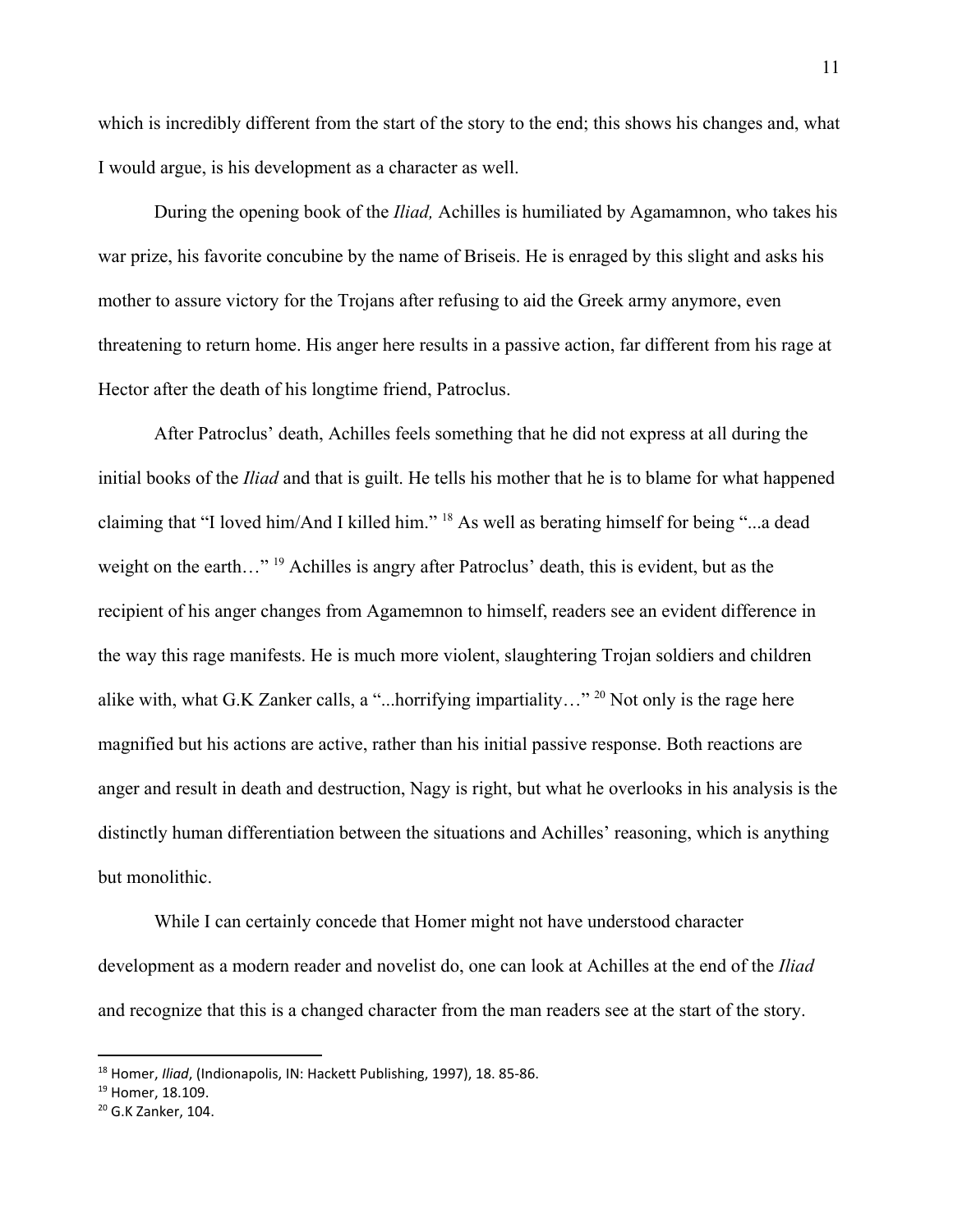which is incredibly different from the start of the story to the end; this shows his changes and, what I would argue, is his development as a character as well.

During the opening book of the *Iliad,* Achilles is humiliated by Agamamnon, who takes his war prize, his favorite concubine by the name of Briseis. He is enraged by this slight and asks his mother to assure victory for the Trojans after refusing to aid the Greek army anymore, even threatening to return home. His anger here results in a passive action, far different from his rage at Hector after the death of his longtime friend, Patroclus.

After Patroclus' death, Achilles feels something that he did not express at all during the initial books of the *Iliad* and that is guilt. He tells his mother that he is to blame for what happened claiming that "I loved him/And I killed him."  $18$  As well as berating himself for being "...a dead weight on the earth..." <sup>19</sup> Achilles is angry after Patroclus' death, this is evident, but as the recipient of his anger changes from Agamemnon to himself, readers see an evident difference in the way this rage manifests. He is much more violent, slaughtering Trojan soldiers and children alike with, what G.K Zanker calls, a "...horrifying impartiality..." <sup>20</sup> Not only is the rage here magnified but his actions are active, rather than his initial passive response. Both reactions are anger and result in death and destruction, Nagy is right, but what he overlooks in his analysis is the distinctly human differentiation between the situations and Achilles' reasoning, which is anything but monolithic.

While I can certainly concede that Homer might not have understood character development as a modern reader and novelist do, one can look at Achilles at the end of the *Iliad* and recognize that this is a changed character from the man readers see at the start of the story.

<sup>18</sup> Homer, *Iliad*, (Indionapolis, IN: Hackett Publishing, 1997), 18. 85-86.

<sup>&</sup>lt;sup>19</sup> Homer, 18.109.

<sup>&</sup>lt;sup>20</sup> G.K Zanker, 104.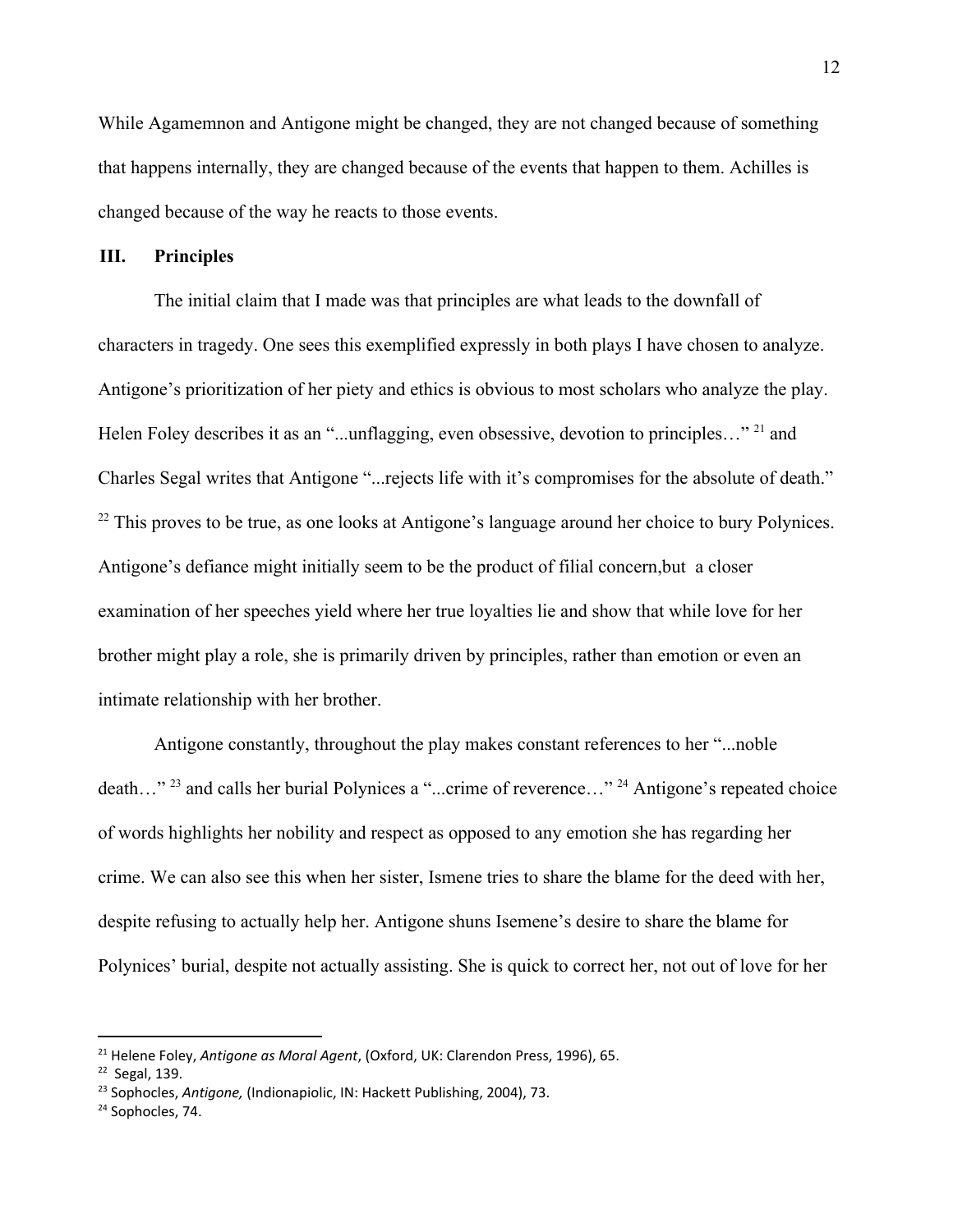While Agamemnon and Antigone might be changed, they are not changed because of something that happens internally, they are changed because of the events that happen to them. Achilles is changed because of the way he reacts to those events.

# **III. Principles**

The initial claim that I made was that principles are what leads to the downfall of characters in tragedy. One sees this exemplified expressly in both plays I have chosen to analyze. Antigone's prioritization of her piety and ethics is obvious to most scholars who analyze the play. Helen Foley describes it as an "...unflagging, even obsessive, devotion to principles..." <sup>21</sup> and Charles Segal writes that Antigone "...rejects life with it's compromises for the absolute of death."  $22$  This proves to be true, as one looks at Antigone's language around her choice to bury Polynices. Antigone's defiance might initially seem to be the product of filial concern,but a closer examination of her speeches yield where her true loyalties lie and show that while love for her brother might play a role, she is primarily driven by principles, rather than emotion or even an intimate relationship with her brother.

Antigone constantly, throughout the play makes constant references to her "...noble death..."<sup>23</sup> and calls her burial Polynices a "...crime of reverence..."<sup>24</sup> Antigone's repeated choice of words highlights her nobility and respect as opposed to any emotion she has regarding her crime. We can also see this when her sister, Ismene tries to share the blame for the deed with her, despite refusing to actually help her. Antigone shuns Isemene's desire to share the blame for Polynices' burial, despite not actually assisting. She is quick to correct her, not out of love for her

<sup>21</sup> Helene Foley, *Antigone as Moral Agent*, (Oxford, UK: Clarendon Press, 1996), 65.

 $22$  Segal, 139.

<sup>23</sup> Sophocles, *Antigone,* (Indionapiolic, IN: Hackett Publishing, 2004), 73.

<sup>&</sup>lt;sup>24</sup> Sophocles, 74.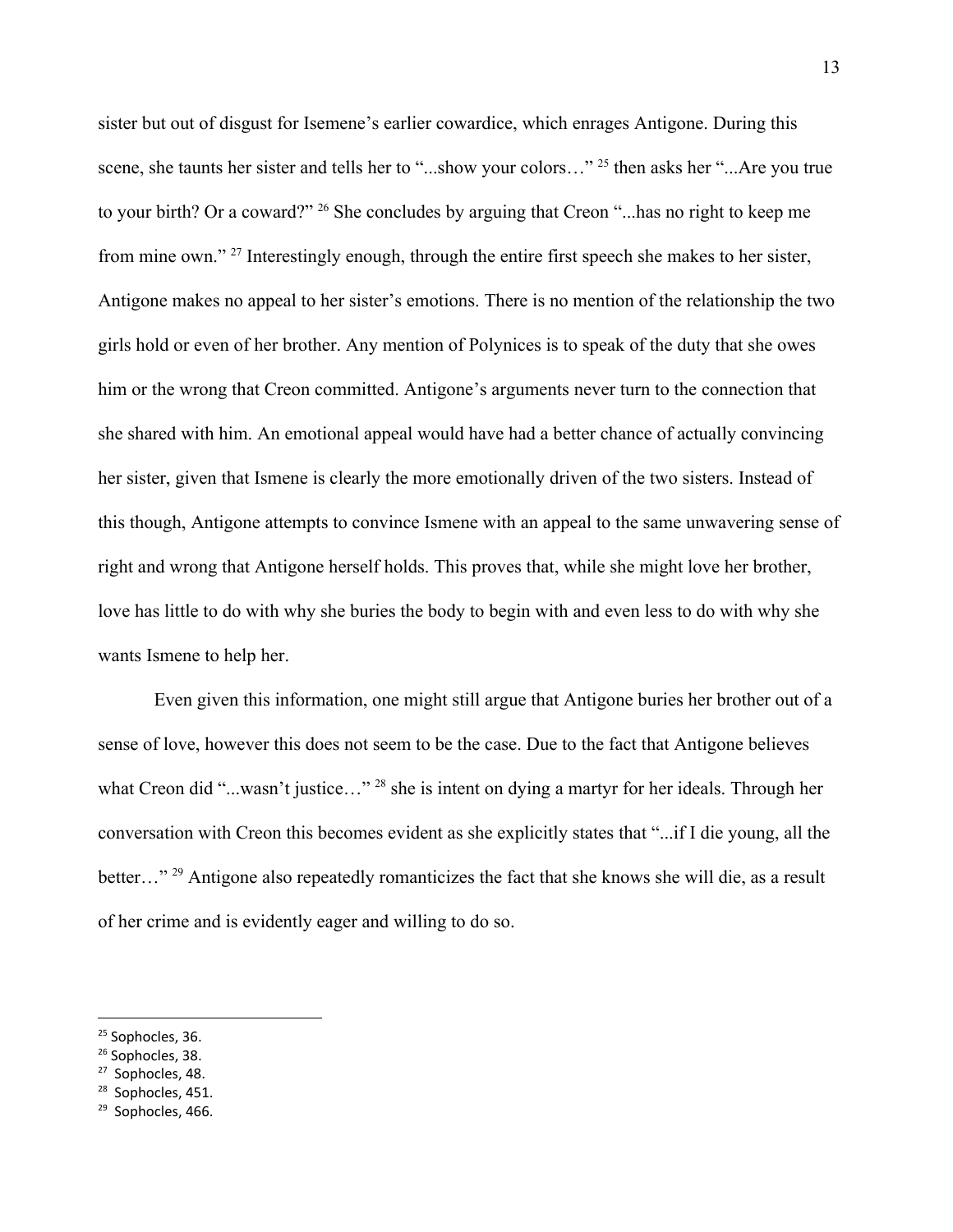sister but out of disgust for Isemene's earlier cowardice, which enrages Antigone. During this scene, she taunts her sister and tells her to "...show your colors..."<sup>25</sup> then asks her "...Are you true to your birth? Or a coward?" <sup>26</sup> She concludes by arguing that Creon "...has no right to keep me from mine own."  $27$  Interestingly enough, through the entire first speech she makes to her sister, Antigone makes no appeal to her sister's emotions. There is no mention of the relationship the two girls hold or even of her brother. Any mention of Polynices is to speak of the duty that she owes him or the wrong that Creon committed. Antigone's arguments never turn to the connection that she shared with him. An emotional appeal would have had a better chance of actually convincing her sister, given that Ismene is clearly the more emotionally driven of the two sisters. Instead of this though, Antigone attempts to convince Ismene with an appeal to the same unwavering sense of right and wrong that Antigone herself holds. This proves that, while she might love her brother, love has little to do with why she buries the body to begin with and even less to do with why she wants Ismene to help her.

Even given this information, one might still argue that Antigone buries her brother out of a sense of love, however this does not seem to be the case. Due to the fact that Antigone believes what Creon did "...wasn't justice..." <sup>28</sup> she is intent on dying a martyr for her ideals. Through her conversation with Creon this becomes evident as she explicitly states that "...if I die young, all the better..." <sup>29</sup> Antigone also repeatedly romanticizes the fact that she knows she will die, as a result of her crime and is evidently eager and willing to do so.

<sup>28</sup> Sophocles, 451.

<sup>&</sup>lt;sup>25</sup> Sophocles, 36.

<sup>&</sup>lt;sup>26</sup> Sophocles, 38.

<sup>27</sup> Sophocles, 48.

<sup>&</sup>lt;sup>29</sup> Sophocles, 466.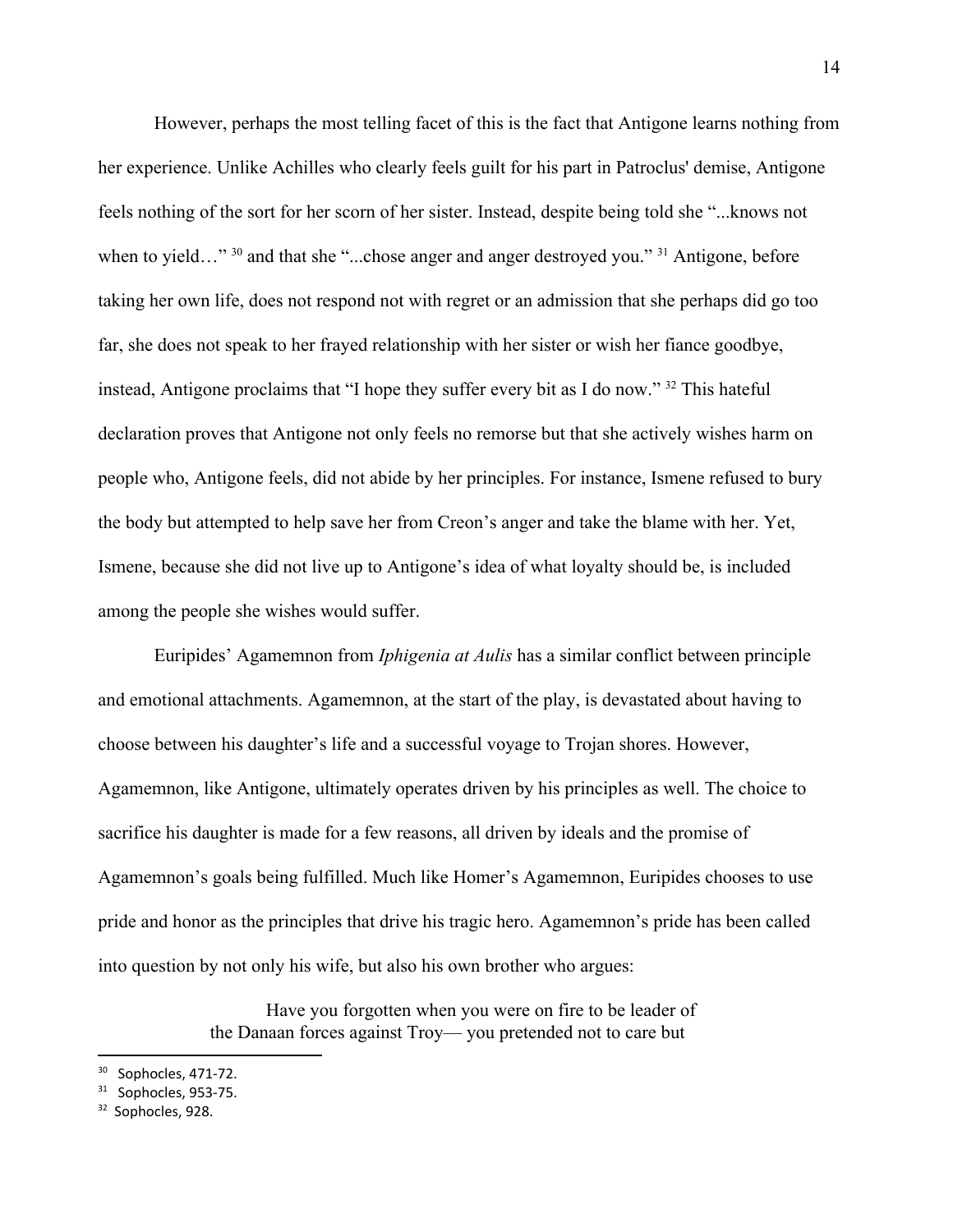However, perhaps the most telling facet of this is the fact that Antigone learns nothing from her experience. Unlike Achilles who clearly feels guilt for his part in Patroclus' demise, Antigone feels nothing of the sort for her scorn of her sister. Instead, despite being told she "...knows not when to yield..."  $30$  and that she "...chose anger and anger destroyed you."  $31$  Antigone, before taking her own life, does not respond not with regret or an admission that she perhaps did go too far, she does not speak to her frayed relationship with her sister or wish her fiance goodbye, instead, Antigone proclaims that "I hope they suffer every bit as I do now."  $32$  This hateful declaration proves that Antigone not only feels no remorse but that she actively wishes harm on people who, Antigone feels, did not abide by her principles. For instance, Ismene refused to bury the body but attempted to help save her from Creon's anger and take the blame with her. Yet, Ismene, because she did not live up to Antigone's idea of what loyalty should be, is included among the people she wishes would suffer.

Euripides' Agamemnon from *Iphigenia at Aulis* has a similar conflict between principle and emotional attachments. Agamemnon, at the start of the play, is devastated about having to choose between his daughter's life and a successful voyage to Trojan shores. However, Agamemnon, like Antigone, ultimately operates driven by his principles as well. The choice to sacrifice his daughter is made for a few reasons, all driven by ideals and the promise of Agamemnon's goals being fulfilled. Much like Homer's Agamemnon, Euripides chooses to use pride and honor as the principles that drive his tragic hero. Agamemnon's pride has been called into question by not only his wife, but also his own brother who argues:

> Have you forgotten when you were on fire to be leader of the Danaan forces against Troy— you pretended not to care but

<sup>&</sup>lt;sup>30</sup> Sophocles, 471-72.

 $31$  Sophocles, 953-75.

<sup>&</sup>lt;sup>32</sup> Sophocles, 928.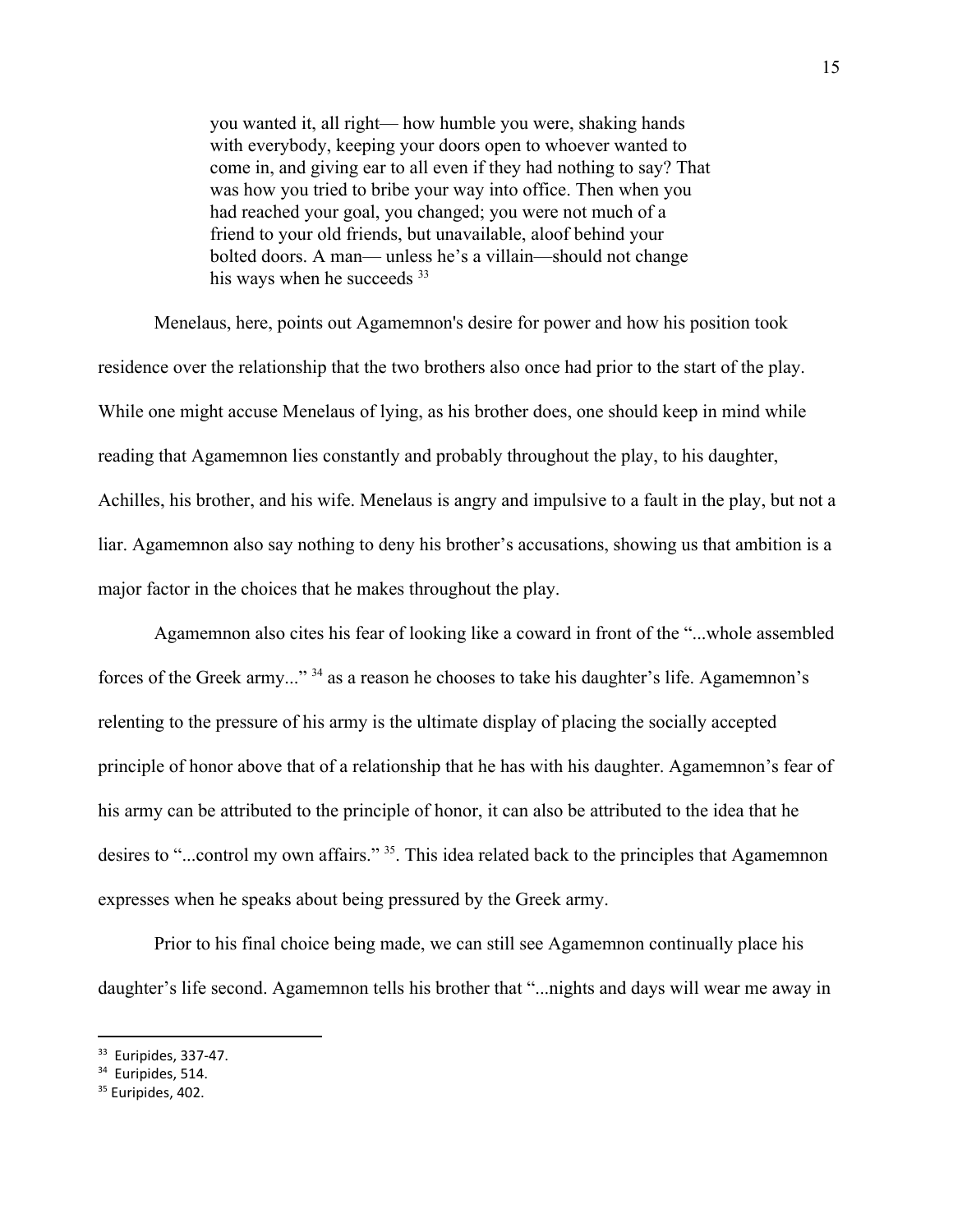you wanted it, all right— how humble you were, shaking hands with everybody, keeping your doors open to whoever wanted to come in, and giving ear to all even if they had nothing to say? That was how you tried to bribe your way into office. Then when you had reached your goal, you changed; you were not much of a friend to your old friends, but unavailable, aloof behind your bolted doors. A man— unless he's a villain—should not change his ways when he succeeds <sup>33</sup>

Menelaus, here, points out Agamemnon's desire for power and how his position took residence over the relationship that the two brothers also once had prior to the start of the play. While one might accuse Menelaus of lying, as his brother does, one should keep in mind while reading that Agamemnon lies constantly and probably throughout the play, to his daughter, Achilles, his brother, and his wife. Menelaus is angry and impulsive to a fault in the play, but not a liar. Agamemnon also say nothing to deny his brother's accusations, showing us that ambition is a major factor in the choices that he makes throughout the play.

Agamemnon also cites his fear of looking like a coward in front of the "...whole assembled forces of the Greek army..." <sup>34</sup> as a reason he chooses to take his daughter's life. Agamemnon's relenting to the pressure of his army is the ultimate display of placing the socially accepted principle of honor above that of a relationship that he has with his daughter. Agamemnon's fear of his army can be attributed to the principle of honor, it can also be attributed to the idea that he desires to "...control my own affairs." <sup>35</sup>. This idea related back to the principles that Agamemnon expresses when he speaks about being pressured by the Greek army.

Prior to his final choice being made, we can still see Agamemnon continually place his daughter's life second. Agamemnon tells his brother that "...nights and days will wear me away in

<sup>33</sup> Euripides, 337-47.

<sup>&</sup>lt;sup>34</sup> Euripides, 514.

<sup>&</sup>lt;sup>35</sup> Euripides, 402.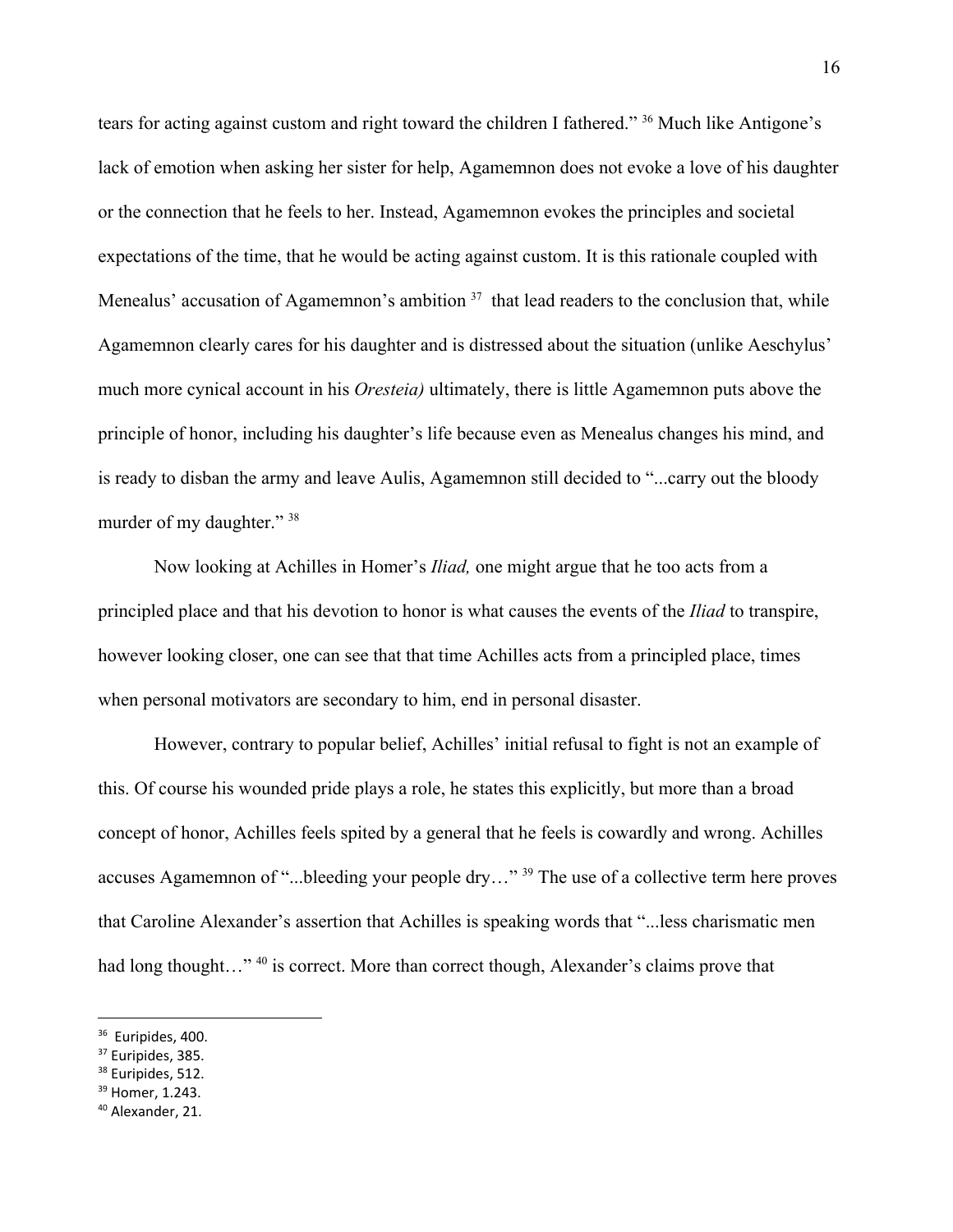tears for acting against custom and right toward the children I fathered." <sup>36</sup> Much like Antigone's lack of emotion when asking her sister for help, Agamemnon does not evoke a love of his daughter or the connection that he feels to her. Instead, Agamemnon evokes the principles and societal expectations of the time, that he would be acting against custom. It is this rationale coupled with Menealus' accusation of Agamemnon's ambition  $37$  that lead readers to the conclusion that, while Agamemnon clearly cares for his daughter and is distressed about the situation (unlike Aeschylus' much more cynical account in his *Oresteia)* ultimately, there is little Agamemnon puts above the principle of honor, including his daughter's life because even as Menealus changes his mind, and is ready to disban the army and leave Aulis, Agamemnon still decided to "...carry out the bloody murder of my daughter." 38

Now looking at Achilles in Homer's *Iliad,* one might argue that he too acts from a principled place and that his devotion to honor is what causes the events of the *Iliad* to transpire, however looking closer, one can see that that time Achilles acts from a principled place, times when personal motivators are secondary to him, end in personal disaster.

However, contrary to popular belief, Achilles' initial refusal to fight is not an example of this. Of course his wounded pride plays a role, he states this explicitly, but more than a broad concept of honor, Achilles feels spited by a general that he feels is cowardly and wrong. Achilles accuses Agamemnon of "...bleeding your people dry..."<sup>39</sup> The use of a collective term here proves that Caroline Alexander's assertion that Achilles is speaking words that "...less charismatic men had long thought…" <sup>40</sup> is correct. More than correct though, Alexander's claims prove that

<sup>&</sup>lt;sup>36</sup> Euripides, 400.

<sup>&</sup>lt;sup>37</sup> Euripides, 385.

<sup>&</sup>lt;sup>38</sup> Euripides, 512.

<sup>&</sup>lt;sup>39</sup> Homer, 1.243.

<sup>40</sup> Alexander, 21.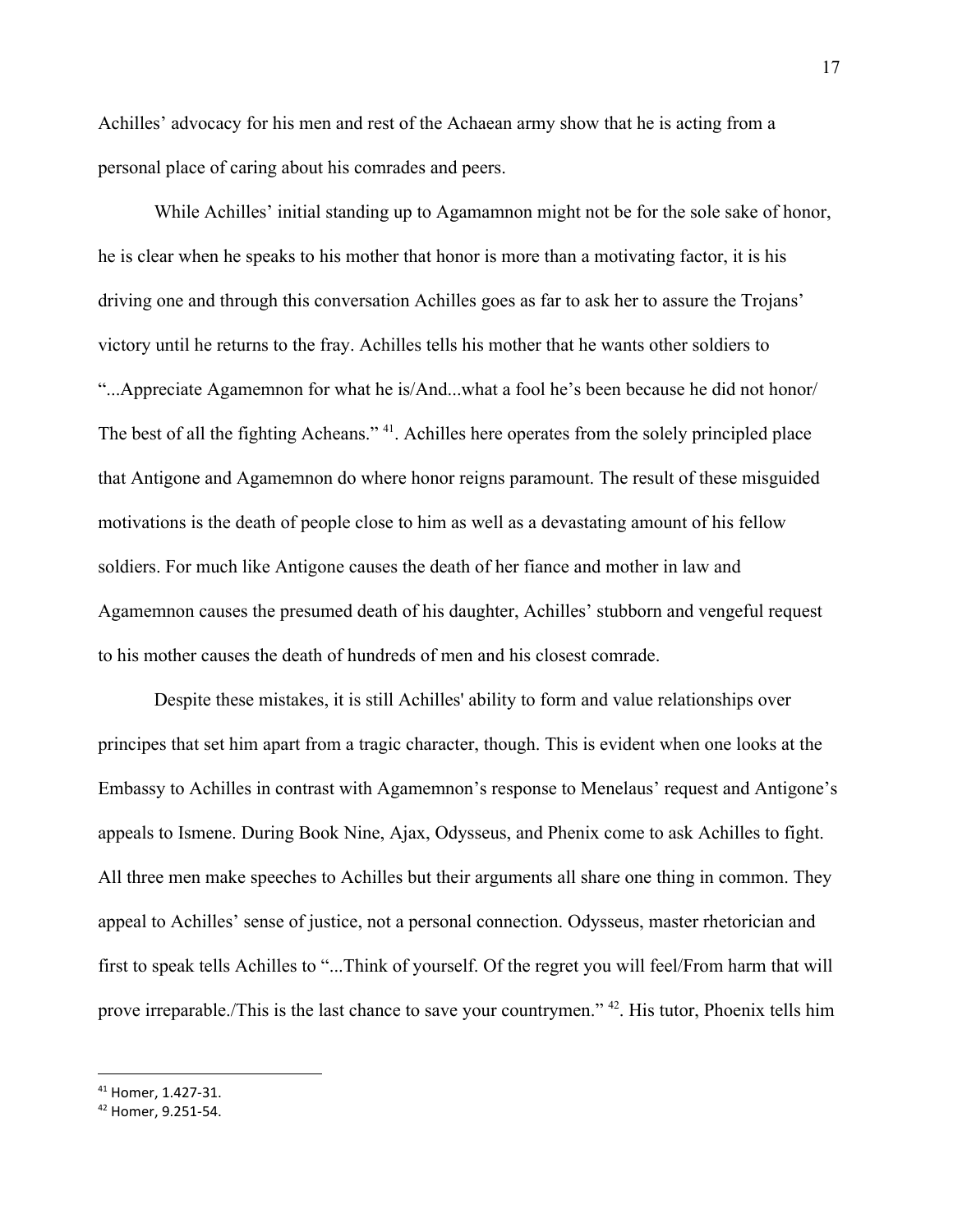Achilles' advocacy for his men and rest of the Achaean army show that he is acting from a personal place of caring about his comrades and peers.

While Achilles' initial standing up to Agamamnon might not be for the sole sake of honor, he is clear when he speaks to his mother that honor is more than a motivating factor, it is his driving one and through this conversation Achilles goes as far to ask her to assure the Trojans' victory until he returns to the fray. Achilles tells his mother that he wants other soldiers to "...Appreciate Agamemnon for what he is/And...what a fool he's been because he did not honor/ The best of all the fighting Acheans." <sup>41</sup>. Achilles here operates from the solely principled place that Antigone and Agamemnon do where honor reigns paramount. The result of these misguided motivations is the death of people close to him as well as a devastating amount of his fellow soldiers. For much like Antigone causes the death of her fiance and mother in law and Agamemnon causes the presumed death of his daughter, Achilles' stubborn and vengeful request to his mother causes the death of hundreds of men and his closest comrade.

Despite these mistakes, it is still Achilles' ability to form and value relationships over principes that set him apart from a tragic character, though. This is evident when one looks at the Embassy to Achilles in contrast with Agamemnon's response to Menelaus' request and Antigone's appeals to Ismene. During Book Nine, Ajax, Odysseus, and Phenix come to ask Achilles to fight. All three men make speeches to Achilles but their arguments all share one thing in common. They appeal to Achilles' sense of justice, not a personal connection. Odysseus, master rhetorician and first to speak tells Achilles to "...Think of yourself. Of the regret you will feel/From harm that will prove irreparable./This is the last chance to save your countrymen." <sup>42</sup>. His tutor, Phoenix tells him

<sup>41</sup> Homer, 1.427-31.

<sup>42</sup> Homer, 9.251-54.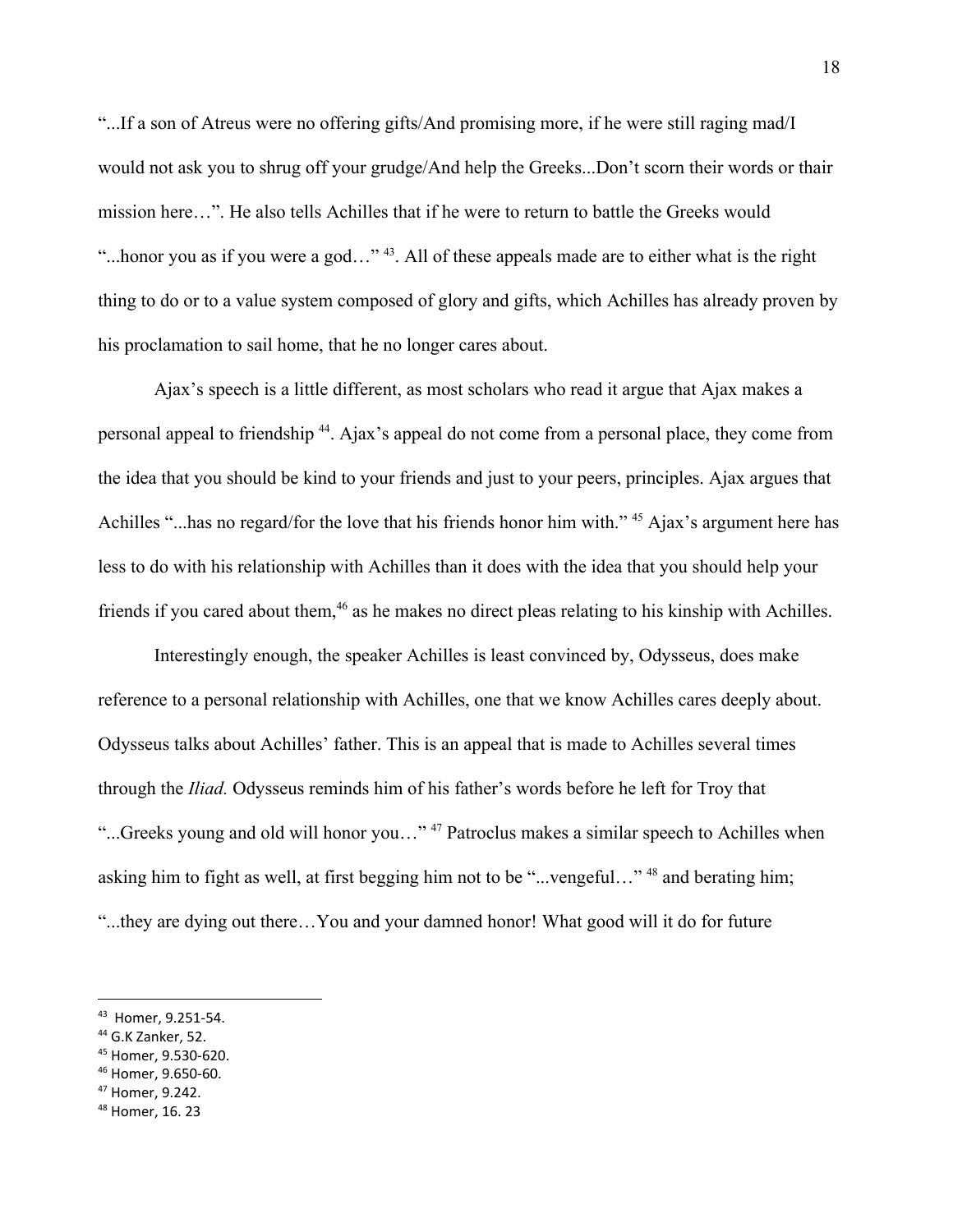"...If a son of Atreus were no offering gifts/And promising more, if he were still raging mad/I would not ask you to shrug off your grudge/And help the Greeks...Don't scorn their words or thair mission here…". He also tells Achilles that if he were to return to battle the Greeks would "...honor you as if you were a god..."  $43$ . All of these appeals made are to either what is the right thing to do or to a value system composed of glory and gifts, which Achilles has already proven by his proclamation to sail home, that he no longer cares about.

Ajax's speech is a little different, as most scholars who read it argue that Ajax makes a personal appeal to friendship <sup>44</sup>. Ajax's appeal do not come from a personal place, they come from the idea that you should be kind to your friends and just to your peers, principles. Ajax argues that Achilles "...has no regard/for the love that his friends honor him with." <sup>45</sup> Ajax's argument here has less to do with his relationship with Achilles than it does with the idea that you should help your friends if you cared about them,  $46$  as he makes no direct pleas relating to his kinship with Achilles.

Interestingly enough, the speaker Achilles is least convinced by, Odysseus, does make reference to a personal relationship with Achilles, one that we know Achilles cares deeply about. Odysseus talks about Achilles' father. This is an appeal that is made to Achilles several times through the *Iliad.* Odysseus reminds him of his father's words before he left for Troy that "...Greeks young and old will honor you..."<sup>47</sup> Patroclus makes a similar speech to Achilles when asking him to fight as well, at first begging him not to be "...vengeful..."  $48$  and berating him; "...they are dying out there…You and your damned honor! What good will it do for future

- <sup>45</sup> Homer, 9.530-620.
- <sup>46</sup> Homer, 9.650-60.
- <sup>47</sup> Homer, 9.242.

<sup>43</sup> Homer, 9.251-54.

<sup>44</sup> G.K Zanker, 52.

<sup>48</sup> Homer, 16. 23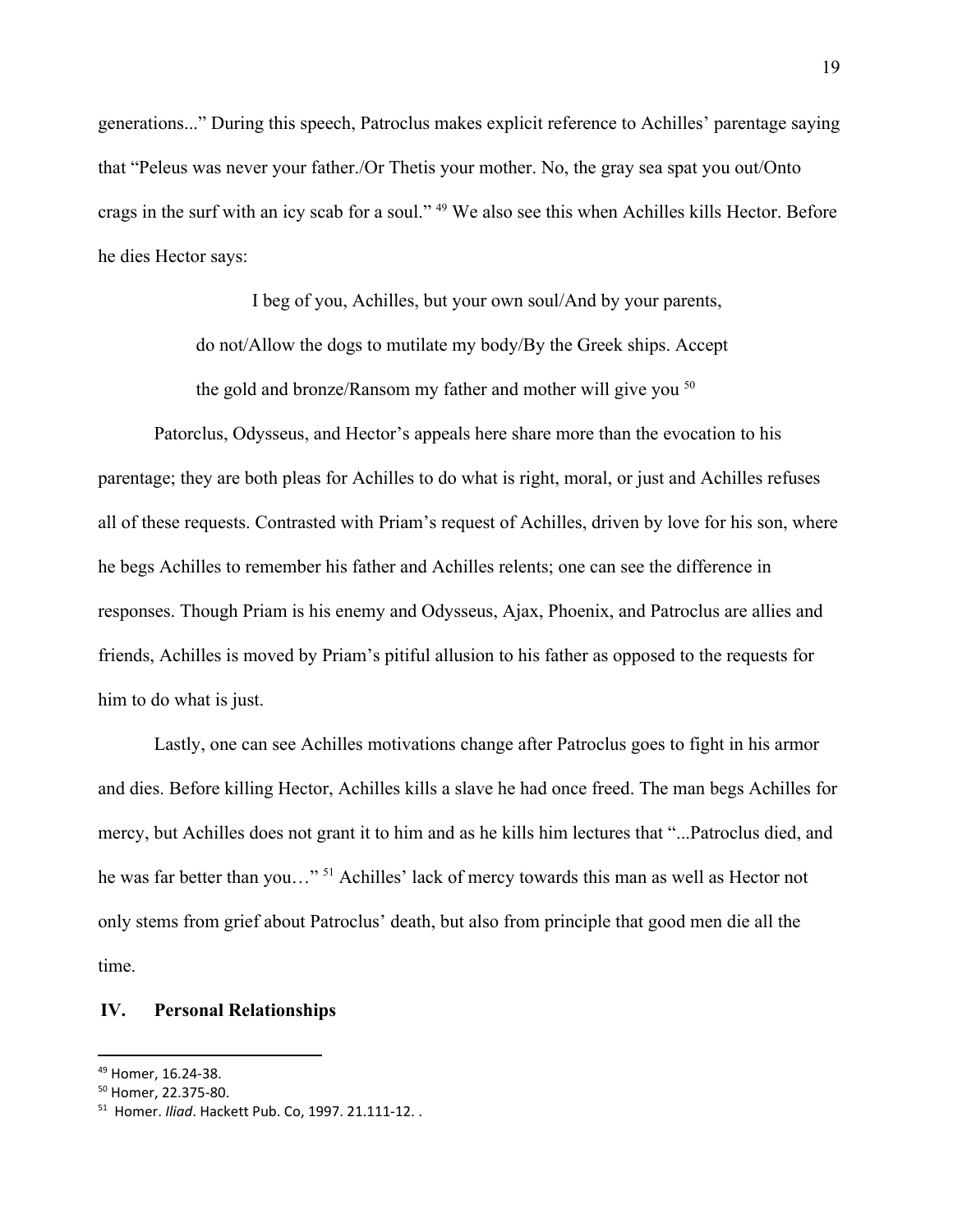generations..." During this speech, Patroclus makes explicit reference to Achilles' parentage saying that "Peleus was never your father./Or Thetis your mother. No, the gray sea spat you out/Onto crags in the surf with an icy scab for a soul." <sup>49</sup> We also see this when Achilles kills Hector. Before he dies Hector says:

> I beg of you, Achilles, but your own soul/And by your parents, do not/Allow the dogs to mutilate my body/By the Greek ships. Accept the gold and bronze/Ransom my father and mother will give you <sup>50</sup>

Patorclus, Odysseus, and Hector's appeals here share more than the evocation to his parentage; they are both pleas for Achilles to do what is right, moral, or just and Achilles refuses all of these requests. Contrasted with Priam's request of Achilles, driven by love for his son, where he begs Achilles to remember his father and Achilles relents; one can see the difference in responses. Though Priam is his enemy and Odysseus, Ajax, Phoenix, and Patroclus are allies and friends, Achilles is moved by Priam's pitiful allusion to his father as opposed to the requests for him to do what is just.

Lastly, one can see Achilles motivations change after Patroclus goes to fight in his armor and dies. Before killing Hector, Achilles kills a slave he had once freed. The man begs Achilles for mercy, but Achilles does not grant it to him and as he kills him lectures that "...Patroclus died, and he was far better than you…"<sup>51</sup> Achilles' lack of mercy towards this man as well as Hector not only stems from grief about Patroclus' death, but also from principle that good men die all the time.

## **IV. Personal Relationships**

<sup>49</sup> Homer, 16.24-38.

<sup>50</sup> Homer, 22.375-80.

<sup>51</sup> Homer. *Iliad*. Hackett Pub. Co, 1997. 21.111-12. .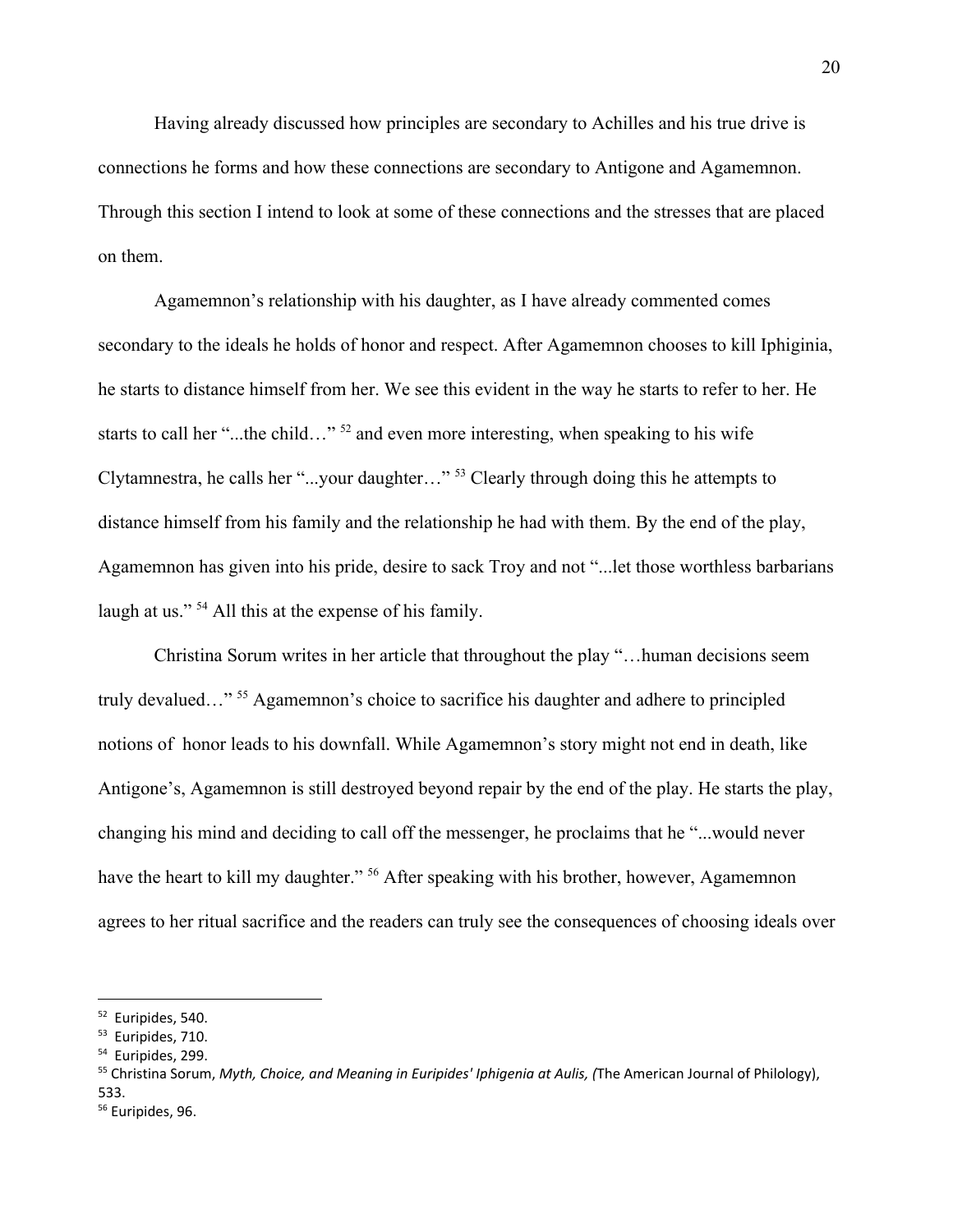Having already discussed how principles are secondary to Achilles and his true drive is connections he forms and how these connections are secondary to Antigone and Agamemnon. Through this section I intend to look at some of these connections and the stresses that are placed on them.

Agamemnon's relationship with his daughter, as I have already commented comes secondary to the ideals he holds of honor and respect. After Agamemnon chooses to kill Iphiginia, he starts to distance himself from her. We see this evident in the way he starts to refer to her. He starts to call her "...the child..."  $52$  and even more interesting, when speaking to his wife Clytamnestra, he calls her "...your daughter..."  $53$  Clearly through doing this he attempts to distance himself from his family and the relationship he had with them. By the end of the play, Agamemnon has given into his pride, desire to sack Troy and not "...let those worthless barbarians laugh at us." <sup>54</sup> All this at the expense of his family.

Christina Sorum writes in her article that throughout the play "…human decisions seem truly devalued..."<sup>55</sup> Agamemnon's choice to sacrifice his daughter and adhere to principled notions of honor leads to his downfall. While Agamemnon's story might not end in death, like Antigone's, Agamemnon is still destroyed beyond repair by the end of the play. He starts the play, changing his mind and deciding to call off the messenger, he proclaims that he "...would never have the heart to kill my daughter." <sup>56</sup> After speaking with his brother, however, Agamemnon agrees to her ritual sacrifice and the readers can truly see the consequences of choosing ideals over

<sup>52</sup> Euripides, 540.

<sup>&</sup>lt;sup>53</sup> Euripides, 710.

<sup>&</sup>lt;sup>54</sup> Euripides, 299.

<sup>55</sup> Christina Sorum, *Myth, Choice, and Meaning in Euripides' Iphigenia at Aulis, (*The American Journal of Philology), 533.

<sup>&</sup>lt;sup>56</sup> Euripides, 96.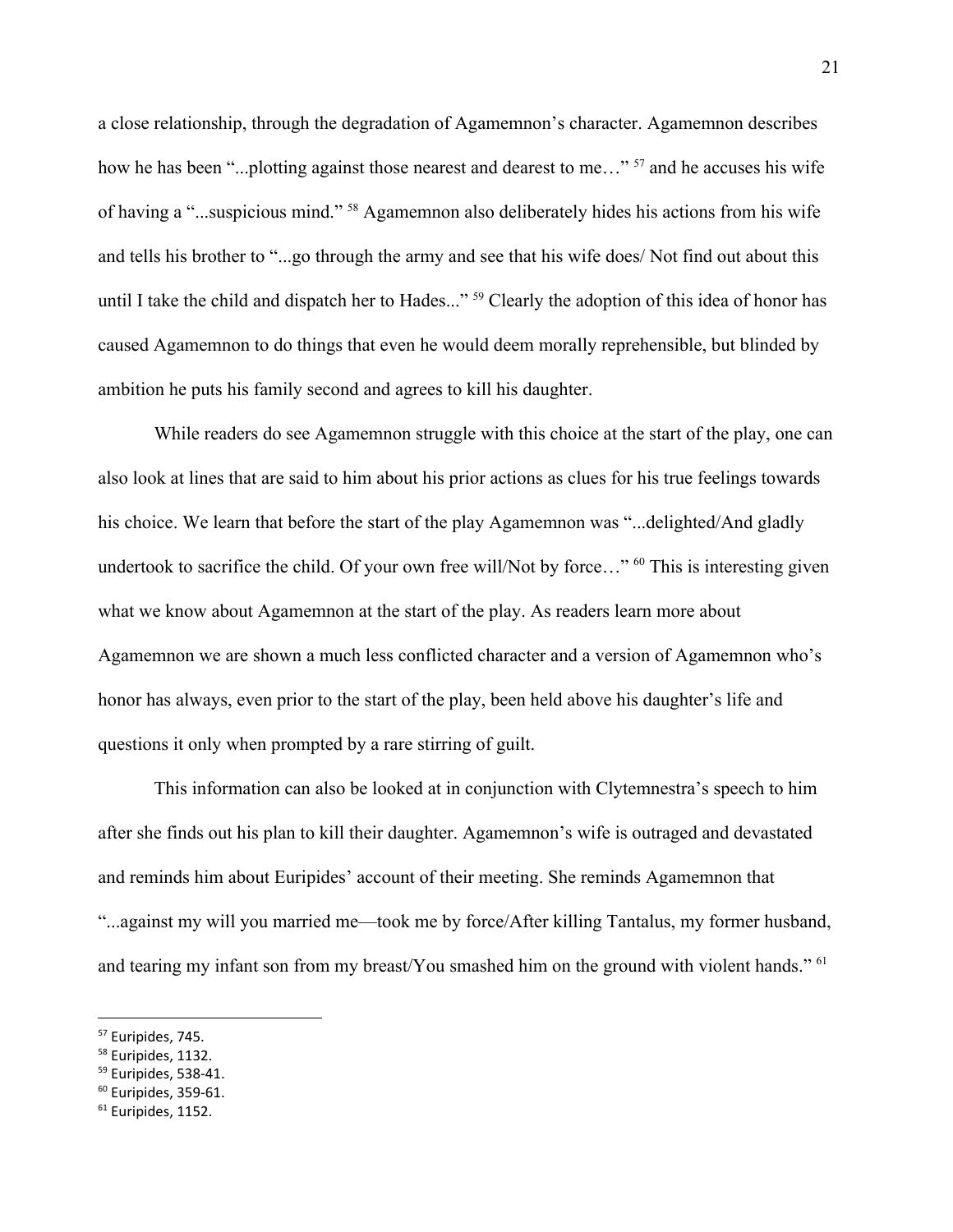a close relationship, through the degradation of Agamemnon's character. Agamemnon describes how he has been "...plotting against those nearest and dearest to me..."  $57$  and he accuses his wife of having a "...suspicious mind." <sup>58</sup> Agamemnon also deliberately hides his actions from his wife and tells his brother to "...go through the army and see that his wife does/ Not find out about this until I take the child and dispatch her to Hades..." <sup>59</sup> Clearly the adoption of this idea of honor has caused Agamemnon to do things that even he would deem morally reprehensible, but blinded by ambition he puts his family second and agrees to kill his daughter.

While readers do see Agamemnon struggle with this choice at the start of the play, one can also look at lines that are said to him about his prior actions as clues for his true feelings towards his choice. We learn that before the start of the play Agamemnon was "...delighted/And gladly undertook to sacrifice the child. Of your own free will/Not by force..."  $60$  This is interesting given what we know about Agamemnon at the start of the play. As readers learn more about Agamemnon we are shown a much less conflicted character and a version of Agamemnon who's honor has always, even prior to the start of the play, been held above his daughter's life and questions it only when prompted by a rare stirring of guilt.

This information can also be looked at in conjunction with Clytemnestra's speech to him after she finds out his plan to kill their daughter. Agamemnon's wife is outraged and devastated and reminds him about Euripides' account of their meeting. She reminds Agamemnon that "...against my will you married me—took me by force/After killing Tantalus, my former husband, and tearing my infant son from my breast/You smashed him on the ground with violent hands." <sup>61</sup>

<sup>57</sup> Euripides, 745.

<sup>&</sup>lt;sup>58</sup> Euripides, 1132.

<sup>59</sup> Euripides, 538-41.

 $60$  Euripides, 359-61.

<sup>&</sup>lt;sup>61</sup> Euripides, 1152.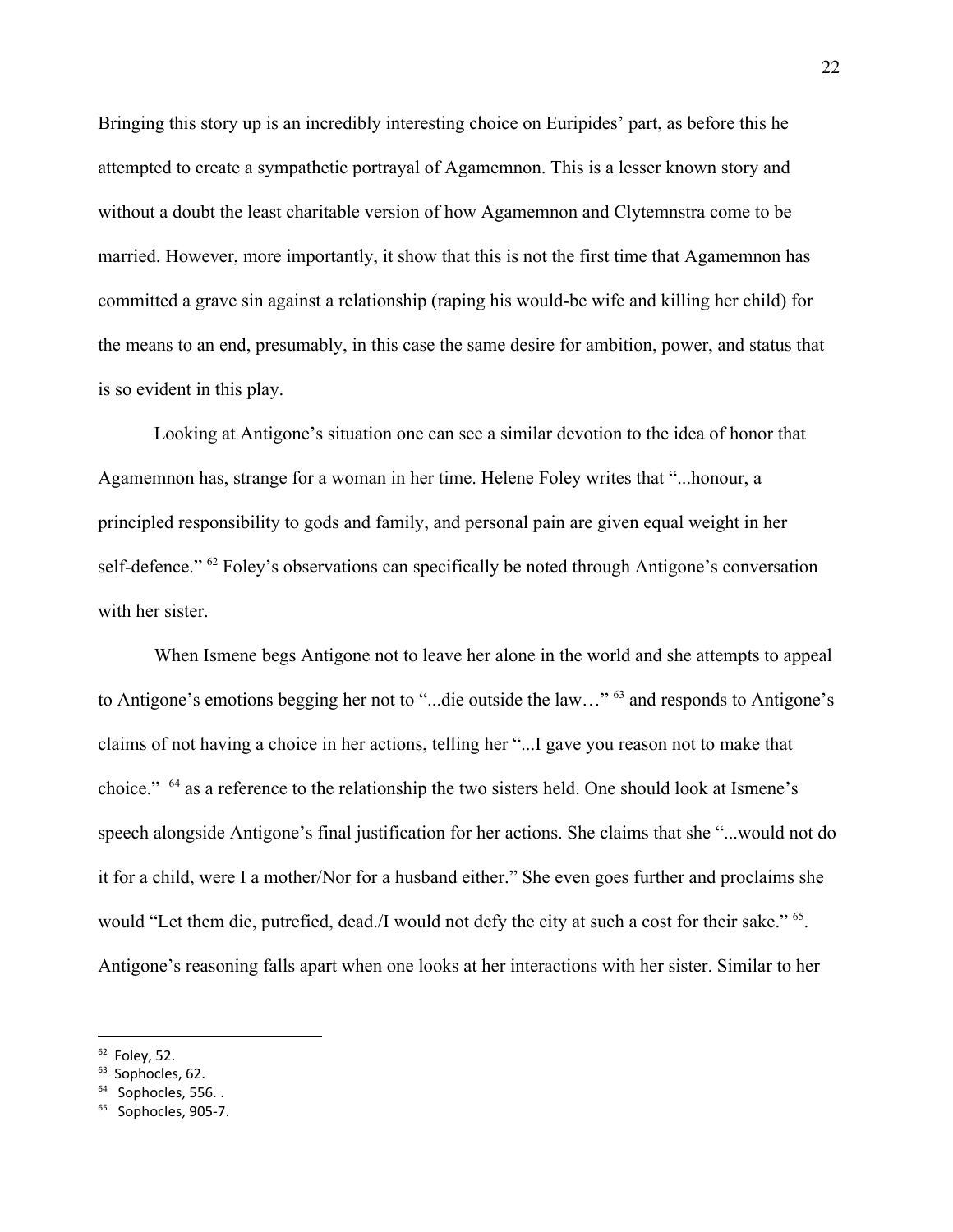Bringing this story up is an incredibly interesting choice on Euripides' part, as before this he attempted to create a sympathetic portrayal of Agamemnon. This is a lesser known story and without a doubt the least charitable version of how Agamemnon and Clytemnstra come to be married. However, more importantly, it show that this is not the first time that Agamemnon has committed a grave sin against a relationship (raping his would-be wife and killing her child) for the means to an end, presumably, in this case the same desire for ambition, power, and status that is so evident in this play.

Looking at Antigone's situation one can see a similar devotion to the idea of honor that Agamemnon has, strange for a woman in her time. Helene Foley writes that "...honour, a principled responsibility to gods and family, and personal pain are given equal weight in her self-defence."  $62$  Foley's observations can specifically be noted through Antigone's conversation with her sister.

When Ismene begs Antigone not to leave her alone in the world and she attempts to appeal to Antigone's emotions begging her not to "...die outside the law..." <sup>63</sup> and responds to Antigone's claims of not having a choice in her actions, telling her "...I gave you reason not to make that choice." <sup>64</sup> as a reference to the relationship the two sisters held. One should look at Ismene's speech alongside Antigone's final justification for her actions. She claims that she "...would not do it for a child, were I a mother/Nor for a husband either." She even goes further and proclaims she would "Let them die, putrefied, dead./I would not defy the city at such a cost for their sake." <sup>65</sup>. Antigone's reasoning falls apart when one looks at her interactions with her sister. Similar to her

 $62$  Foley, 52.

<sup>&</sup>lt;sup>63</sup> Sophocles, 62.

 $64$  Sophocles, 556...

<sup>&</sup>lt;sup>65</sup> Sophocles, 905-7.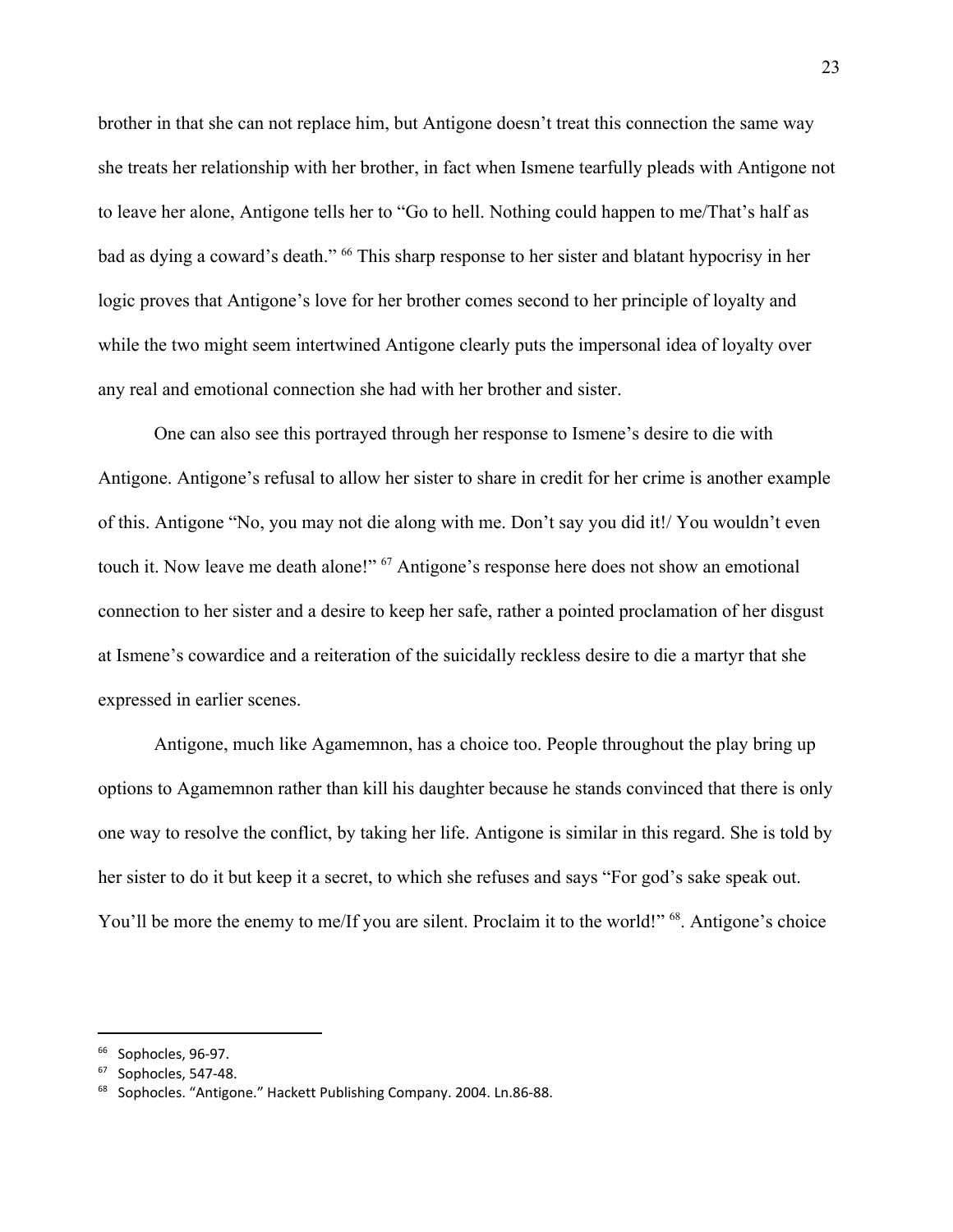brother in that she can not replace him, but Antigone doesn't treat this connection the same way she treats her relationship with her brother, in fact when Ismene tearfully pleads with Antigone not to leave her alone, Antigone tells her to "Go to hell. Nothing could happen to me/That's half as bad as dying a coward's death." <sup>66</sup> This sharp response to her sister and blatant hypocrisy in her logic proves that Antigone's love for her brother comes second to her principle of loyalty and while the two might seem intertwined Antigone clearly puts the impersonal idea of loyalty over any real and emotional connection she had with her brother and sister.

One can also see this portrayed through her response to Ismene's desire to die with Antigone. Antigone's refusal to allow her sister to share in credit for her crime is another example of this. Antigone "No, you may not die along with me. Don't say you did it!/ You wouldn't even touch it. Now leave me death alone!" <sup>67</sup> Antigone's response here does not show an emotional connection to her sister and a desire to keep her safe, rather a pointed proclamation of her disgust at Ismene's cowardice and a reiteration of the suicidally reckless desire to die a martyr that she expressed in earlier scenes.

Antigone, much like Agamemnon, has a choice too. People throughout the play bring up options to Agamemnon rather than kill his daughter because he stands convinced that there is only one way to resolve the conflict, by taking her life. Antigone is similar in this regard. She is told by her sister to do it but keep it a secret, to which she refuses and says "For god's sake speak out. You'll be more the enemy to me/If you are silent. Proclaim it to the world!" <sup>68</sup>. Antigone's choice

<sup>&</sup>lt;sup>66</sup> Sophocles, 96-97.

 $67$  Sophocles, 547-48.

<sup>68</sup> Sophocles. "Antigone." Hackett Publishing Company. 2004. Ln.86-88.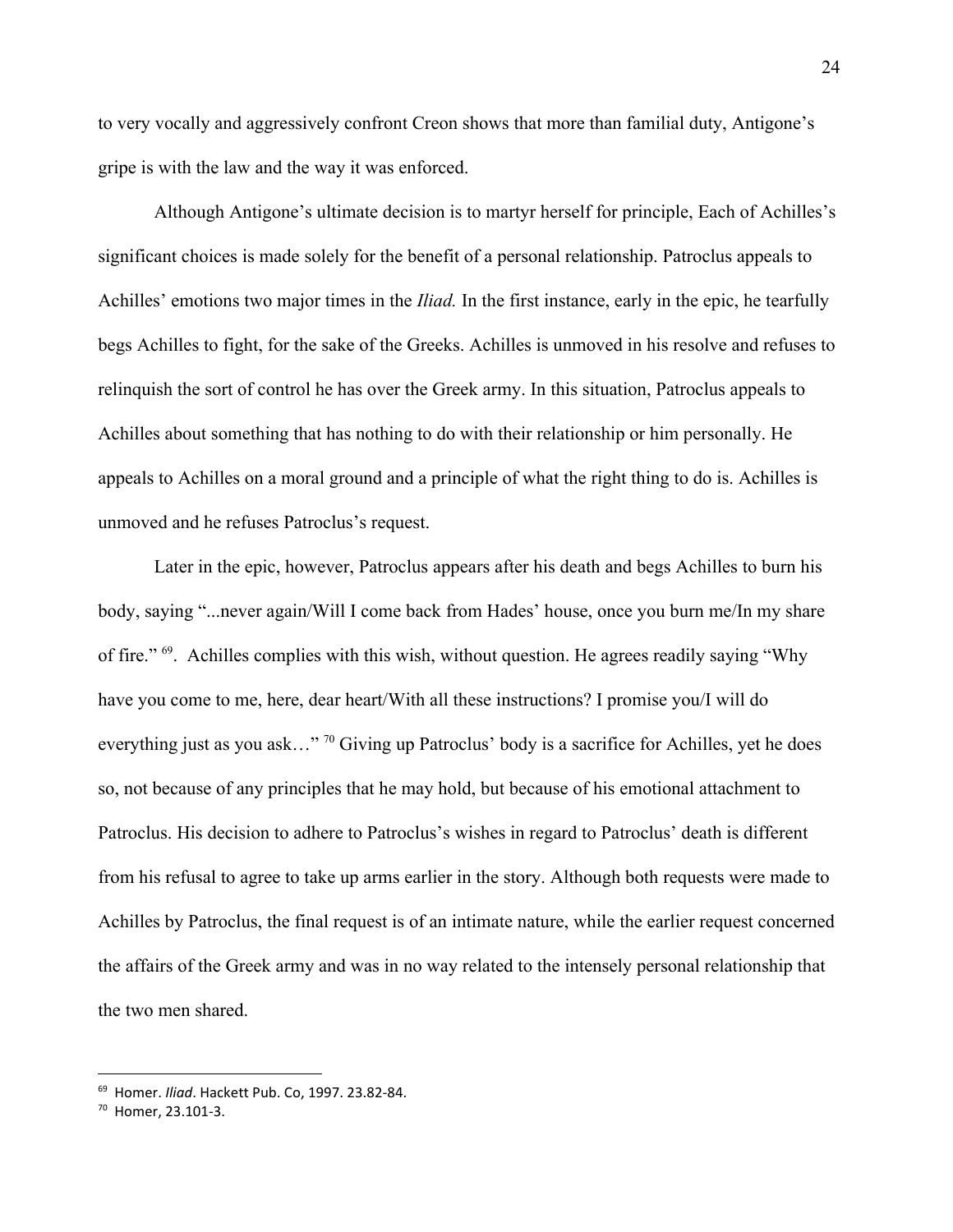to very vocally and aggressively confront Creon shows that more than familial duty, Antigone's gripe is with the law and the way it was enforced.

Although Antigone's ultimate decision is to martyr herself for principle, Each of Achilles's significant choices is made solely for the benefit of a personal relationship. Patroclus appeals to Achilles' emotions two major times in the *Iliad.* In the first instance, early in the epic, he tearfully begs Achilles to fight, for the sake of the Greeks. Achilles is unmoved in his resolve and refuses to relinquish the sort of control he has over the Greek army. In this situation, Patroclus appeals to Achilles about something that has nothing to do with their relationship or him personally. He appeals to Achilles on a moral ground and a principle of what the right thing to do is. Achilles is unmoved and he refuses Patroclus's request.

Later in the epic, however, Patroclus appears after his death and begs Achilles to burn his body, saying "...never again/Will I come back from Hades' house, once you burn me/In my share of fire."  $69$ . Achilles complies with this wish, without question. He agrees readily saying "Why" have you come to me, here, dear heart/With all these instructions? I promise you/I will do everything just as you ask..." <sup>70</sup> Giving up Patroclus' body is a sacrifice for Achilles, yet he does so, not because of any principles that he may hold, but because of his emotional attachment to Patroclus. His decision to adhere to Patroclus's wishes in regard to Patroclus' death is different from his refusal to agree to take up arms earlier in the story. Although both requests were made to Achilles by Patroclus, the final request is of an intimate nature, while the earlier request concerned the affairs of the Greek army and was in no way related to the intensely personal relationship that the two men shared.

<sup>69</sup> Homer. *Iliad*. Hackett Pub. Co, 1997. 23.82-84.

<sup>70</sup> Homer, 23.101-3.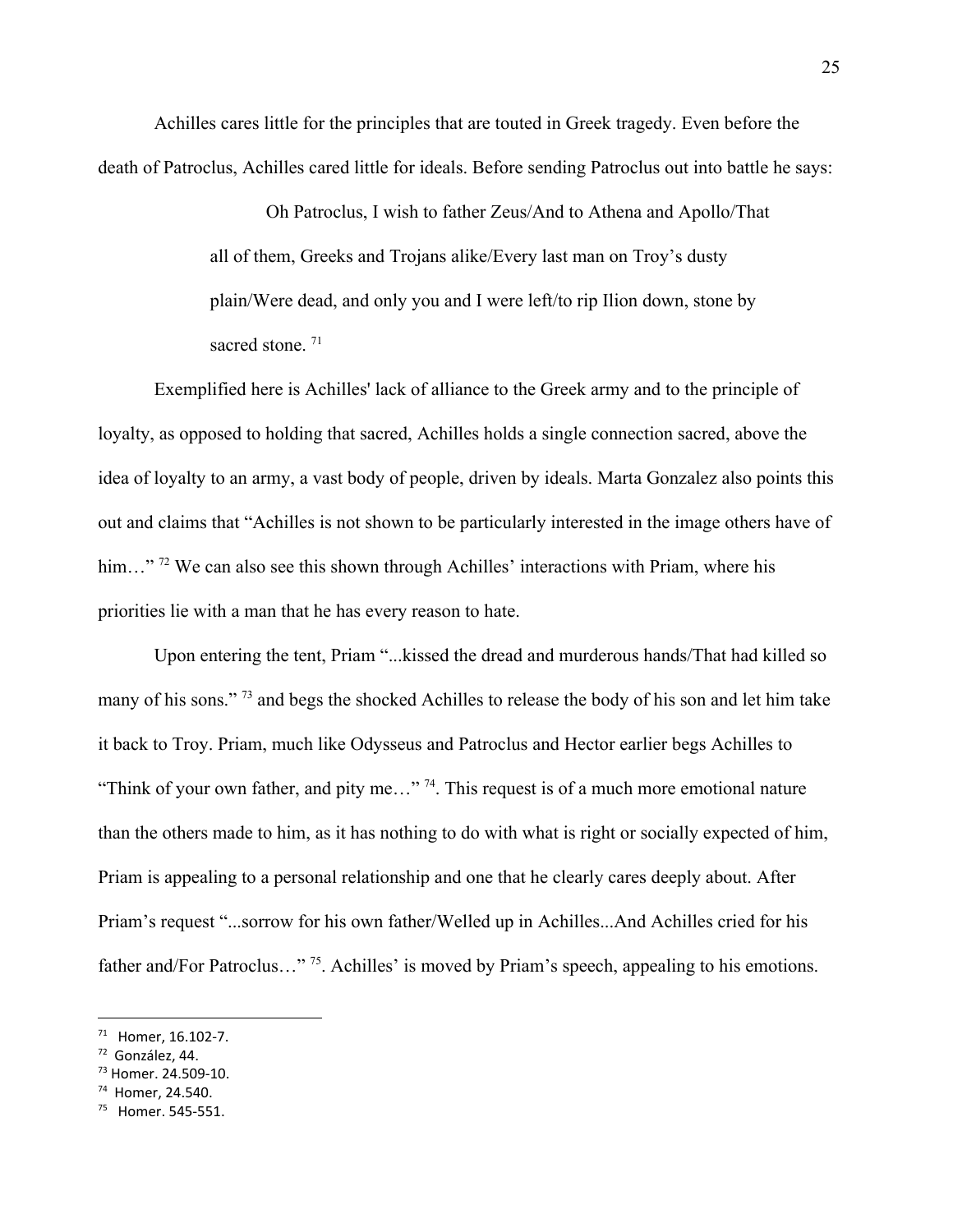Achilles cares little for the principles that are touted in Greek tragedy. Even before the death of Patroclus, Achilles cared little for ideals. Before sending Patroclus out into battle he says:

> Oh Patroclus, I wish to father Zeus/And to Athena and Apollo/That all of them, Greeks and Trojans alike/Every last man on Troy's dusty plain/Were dead, and only you and I were left/to rip Ilion down, stone by sacred stone.<sup>71</sup>

Exemplified here is Achilles' lack of alliance to the Greek army and to the principle of loyalty, as opposed to holding that sacred, Achilles holds a single connection sacred, above the idea of loyalty to an army, a vast body of people, driven by ideals. Marta Gonzalez also points this out and claims that "Achilles is not shown to be particularly interested in the image others have of him..."<sup>72</sup> We can also see this shown through Achilles' interactions with Priam, where his priorities lie with a man that he has every reason to hate.

Upon entering the tent, Priam "...kissed the dread and murderous hands/That had killed so many of his sons."<sup>73</sup> and begs the shocked Achilles to release the body of his son and let him take it back to Troy. Priam, much like Odysseus and Patroclus and Hector earlier begs Achilles to "Think of your own father, and pity me..." <sup>74</sup>. This request is of a much more emotional nature than the others made to him, as it has nothing to do with what is right or socially expected of him, Priam is appealing to a personal relationship and one that he clearly cares deeply about. After Priam's request "...sorrow for his own father/Welled up in Achilles...And Achilles cried for his father and/For Patroclus..."<sup>75</sup>. Achilles' is moved by Priam's speech, appealing to his emotions.

<sup>71</sup> Homer, 16.102-7.

<sup>72</sup> González, 44.

<sup>73</sup> Homer. 24.509-10.

<sup>74</sup> Homer, 24.540.

<sup>75</sup> Homer. 545-551.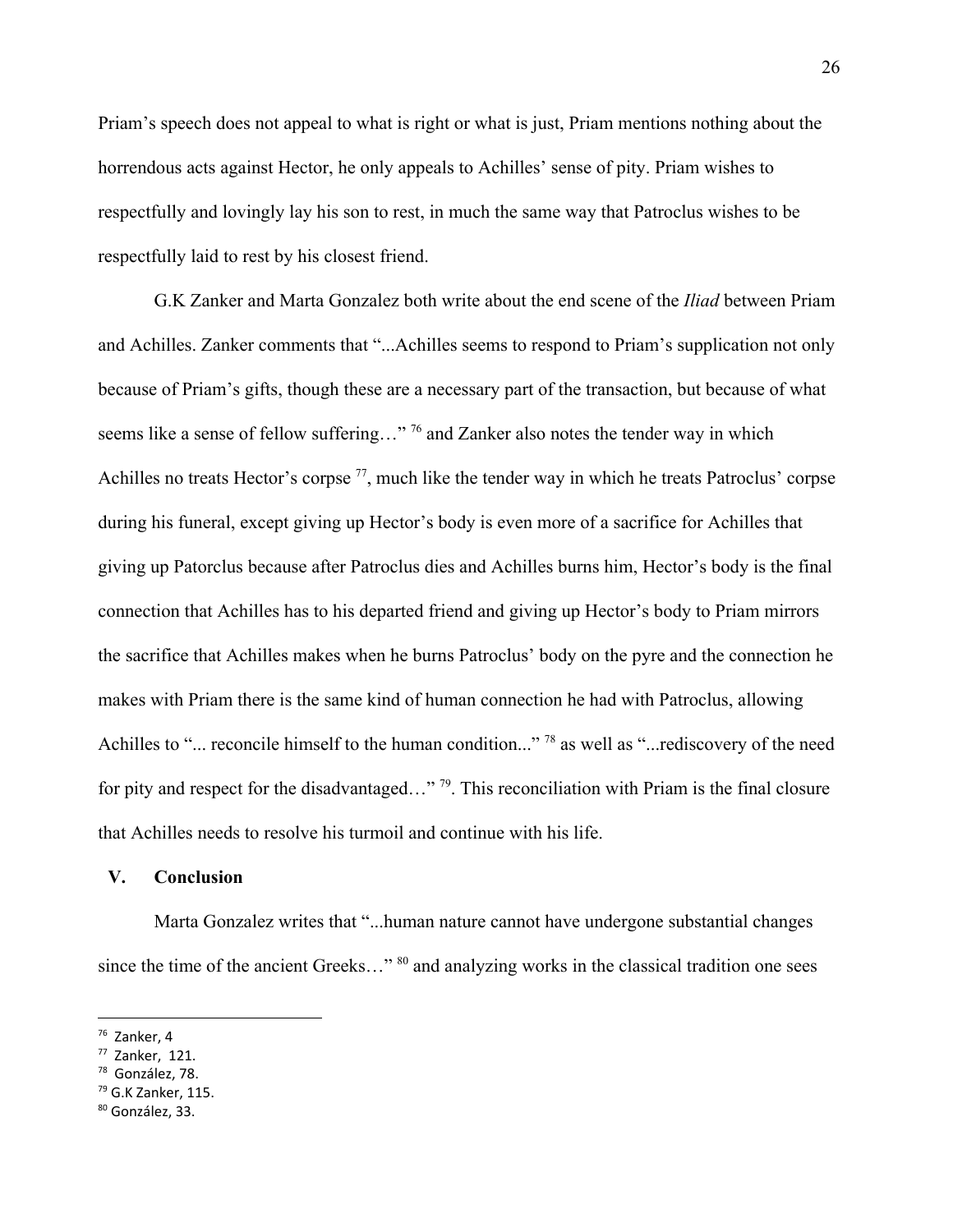Priam's speech does not appeal to what is right or what is just, Priam mentions nothing about the horrendous acts against Hector, he only appeals to Achilles' sense of pity. Priam wishes to respectfully and lovingly lay his son to rest, in much the same way that Patroclus wishes to be respectfully laid to rest by his closest friend.

G.K Zanker and Marta Gonzalez both write about the end scene of the *Iliad* between Priam and Achilles. Zanker comments that "...Achilles seems to respond to Priam's supplication not only because of Priam's gifts, though these are a necessary part of the transaction, but because of what seems like a sense of fellow suffering..." <sup>76</sup> and Zanker also notes the tender way in which Achilles no treats Hector's corpse  $77$ , much like the tender way in which he treats Patroclus' corpse during his funeral, except giving up Hector's body is even more of a sacrifice for Achilles that giving up Patorclus because after Patroclus dies and Achilles burns him, Hector's body is the final connection that Achilles has to his departed friend and giving up Hector's body to Priam mirrors the sacrifice that Achilles makes when he burns Patroclus' body on the pyre and the connection he makes with Priam there is the same kind of human connection he had with Patroclus, allowing Achilles to "... reconcile himself to the human condition..." <sup>78</sup> as well as "...rediscovery of the need for pity and respect for the disadvantaged..." <sup>79</sup>. This reconciliation with Priam is the final closure that Achilles needs to resolve his turmoil and continue with his life.

#### **V. Conclusion**

Marta Gonzalez writes that "...human nature cannot have undergone substantial changes since the time of the ancient Greeks..."  $80$  and analyzing works in the classical tradition one sees

<sup>76</sup> Zanker, 4

 $77$  Zanker, 121.

<sup>78</sup> González, 78.

 $79$  G.K Zanker, 115.

<sup>80</sup> González, 33.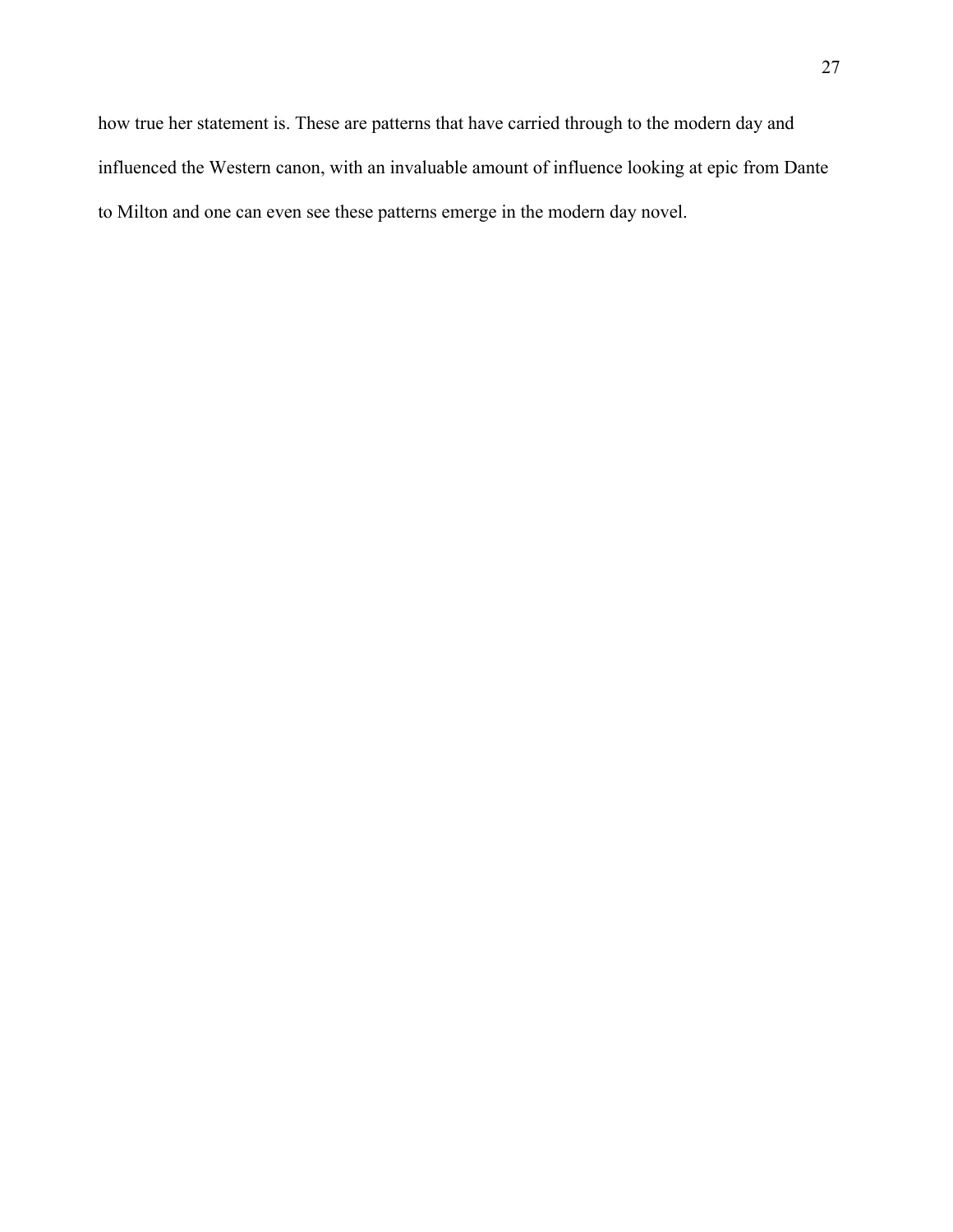how true her statement is. These are patterns that have carried through to the modern day and influenced the Western canon, with an invaluable amount of influence looking at epic from Dante to Milton and one can even see these patterns emerge in the modern day novel.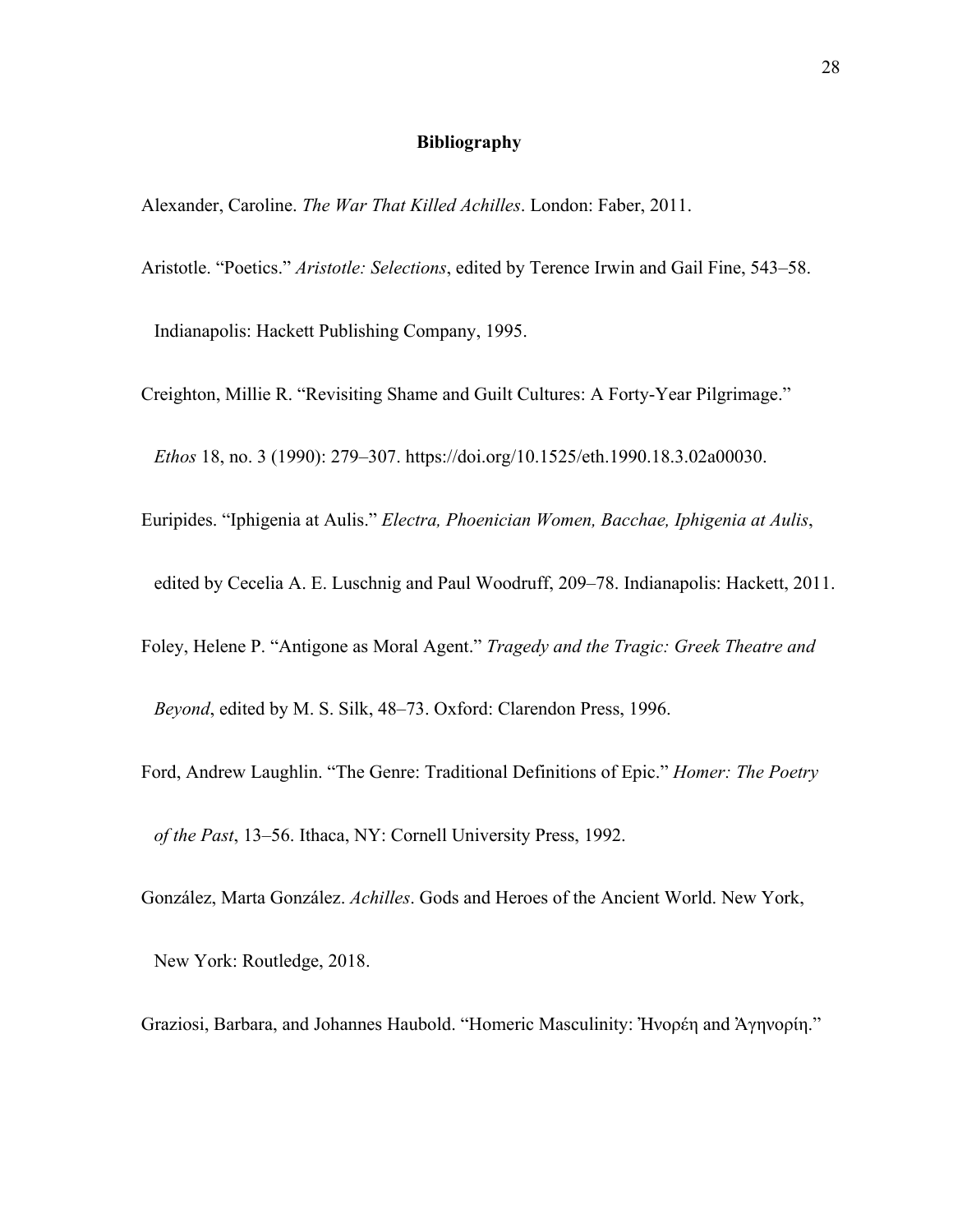#### **Bibliography**

Alexander, Caroline. *The War That Killed Achilles*. London: Faber, 2011.

Aristotle. "Poetics." *Aristotle: Selections*, edited by Terence Irwin and Gail Fine, 543–58.

Indianapolis: Hackett Publishing Company, 1995.

Creighton, Millie R. "Revisiting Shame and Guilt Cultures: A Forty-Year Pilgrimage."

*Ethos* 18, no. 3 (1990): 279–307. https://doi.org/10.1525/eth.1990.18.3.02a00030.

- Euripides. "Iphigenia at Aulis." *Electra, Phoenician Women, Bacchae, Iphigenia at Aulis*,
	- edited by Cecelia A. E. Luschnig and Paul Woodruff, 209–78. Indianapolis: Hackett, 2011.
- Foley, Helene P. "Antigone as Moral Agent." *Tragedy and the Tragic: Greek Theatre and*

*Beyond*, edited by M. S. Silk, 48–73. Oxford: Clarendon Press, 1996.

- Ford, Andrew Laughlin. "The Genre: Traditional Definitions of Epic." *Homer: The Poetry of the Past*, 13–56. Ithaca, NY: Cornell University Press, 1992.
- González, Marta González. *Achilles*. Gods and Heroes of the Ancient World. New York,

New York: Routledge, 2018.

Graziosi, Barbara, and Johannes Haubold. "Homeric Masculinity: Ἠνορέη and Ἀγηνορίη."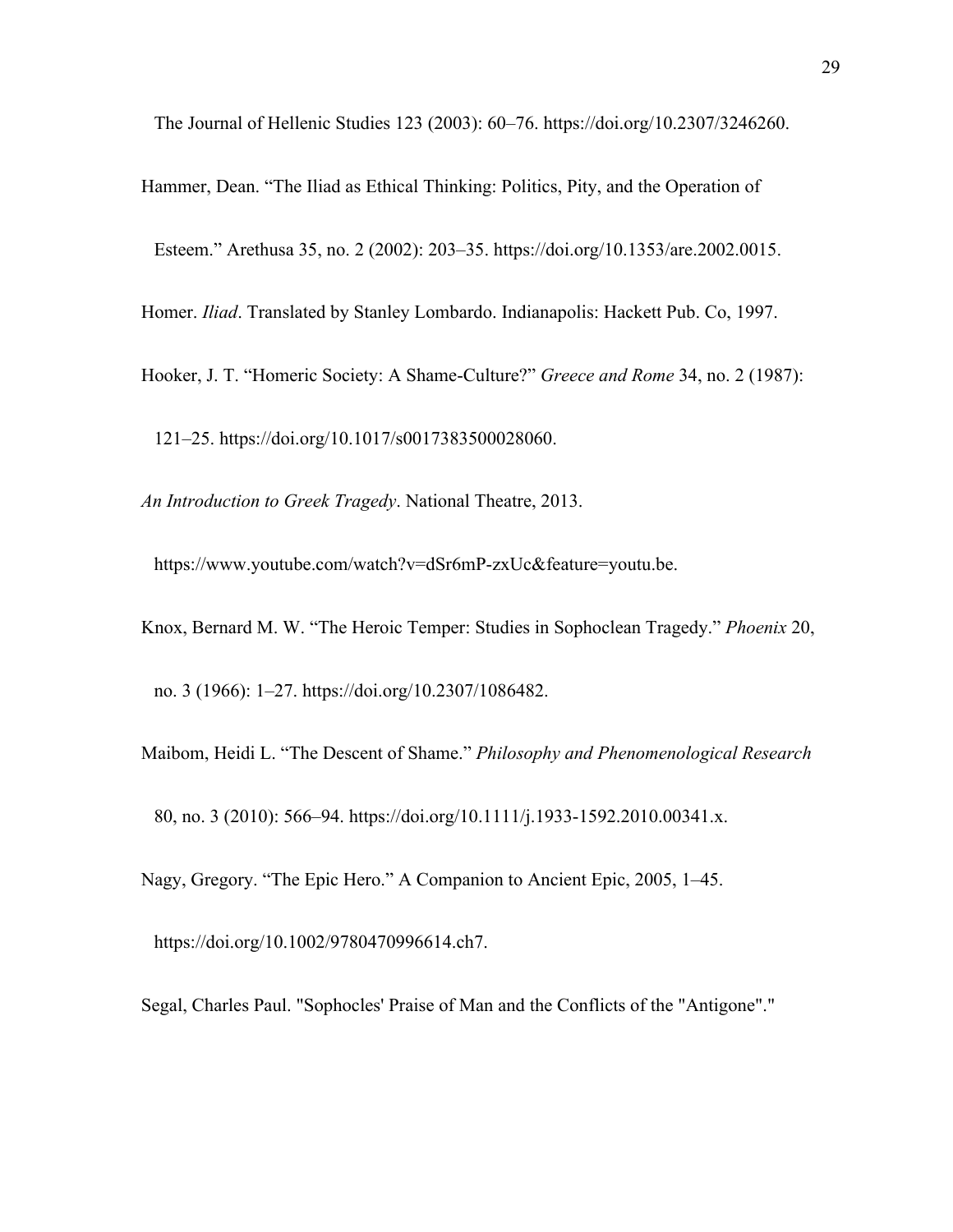The Journal of Hellenic Studies 123 (2003): 60–76. https://doi.org/10.2307/3246260.

Hammer, Dean. "The Iliad as Ethical Thinking: Politics, Pity, and the Operation of Esteem." Arethusa 35, no. 2 (2002): 203–35. https://doi.org/10.1353/are.2002.0015. Homer. *Iliad*. Translated by Stanley Lombardo. Indianapolis: Hackett Pub. Co, 1997.

Hooker, J. T. "Homeric Society: A Shame-Culture?" *Greece and Rome* 34, no. 2 (1987):

121–25. https://doi.org/10.1017/s0017383500028060.

*An Introduction to Greek Tragedy*. National Theatre, 2013.

https://www.youtube.com/watch?v=dSr6mP-zxUc&feature=youtu.be.

Knox, Bernard M. W. "The Heroic Temper: Studies in Sophoclean Tragedy." *Phoenix* 20, no. 3 (1966): 1–27. https://doi.org/10.2307/1086482.

Maibom, Heidi L. "The Descent of Shame." *Philosophy and Phenomenological Research*

80, no. 3 (2010): 566–94. https://doi.org/10.1111/j.1933-1592.2010.00341.x.

Nagy, Gregory. "The Epic Hero." A Companion to Ancient Epic, 2005, 1–45.

https://doi.org/10.1002/9780470996614.ch7.

Segal, Charles Paul. "Sophocles' Praise of Man and the Conflicts of the "Antigone"."